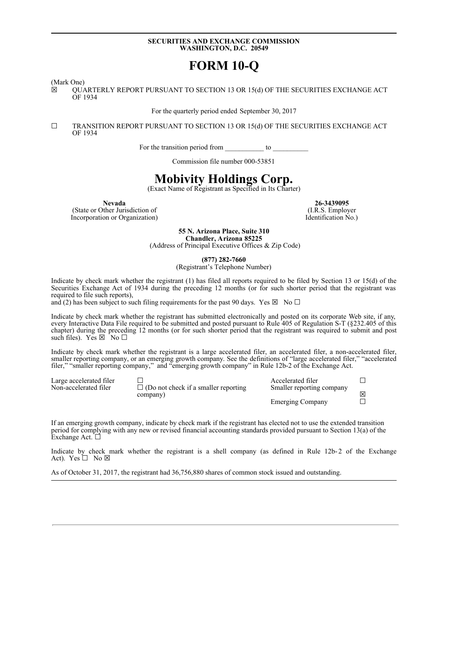## **SECURITIES AND EXCHANGE COMMISSION WASHINGTON, D.C. 20549**

# **FORM 10-Q**

(Mark One)

☒ QUARTERLY REPORT PURSUANT TO SECTION 13 OR 15(d) OF THE SECURITIES EXCHANGE ACT OF 1934

For the quarterly period ended September 30, 2017

☐ TRANSITION REPORT PURSUANT TO SECTION 13 OR 15(d) OF THE SECURITIES EXCHANGE ACT OF 1934

For the transition period from to  $\sim$ 

Commission file number 000-53851

## **Mobivity Holdings Corp.**

(Exact Name of Registrant as Specified in Its Charter)

(State or Other Jurisdiction of (I.R.S. Employer (I.R.S. Employer ) (I.R.S. Employer ) (I.R.S. Employer Incorporation or Organization)

**Nevada 26-3439095**<br> **26-3439095**<br> **26-3439095**<br> **26-3439095**<br> **26-3439095** 

**55 N. Arizona Place, Suite 310 Chandler, Arizona 85225**

(Address of Principal Executive Offices & Zip Code)

**(877) 282-7660**

(Registrant's Telephone Number)

Indicate by check mark whether the registrant (1) has filed all reports required to be filed by Section 13 or 15(d) of the Securities Exchange Act of 1934 during the preceding 12 months (or for such shorter period that the registrant was required to file such reports),

and (2) has been subject to such filing requirements for the past 90 days. Yes  $\boxtimes$  No  $\Box$ 

Indicate by check mark whether the registrant has submitted electronically and posted on its corporate Web site, if any, every Interactive Data File required to be submitted and posted pursuant to Rule 405 of Regulation S-T (§232.405 of this chapter) during the preceding 12 months (or for such shorter period that the registrant was required to submit and post such files). Yes  $\boxtimes \cap$  No  $\square$ 

Indicate by check mark whether the registrant is a large accelerated filer, an accelerated filer, a non-accelerated filer, smaller reporting company, or an emerging growth company. See the definitions of "large accelerated filer," "accelerated filer," "smaller reporting company," and "emerging growth company" in Rule 12b-2 of the Exchange Act.

Large accelerated filer  $□$ <br>
Non-accelerated filer  $□$  (Do not check if a smaller reporting Smaller reporting company  $\Box$  (Do not check if a smaller reporting company) Smaller reporting company ☒ Emerging Company □

If an emerging growth company, indicate by check mark if the registrant has elected not to use the extended transition period for complying with any new or revised financial accounting standards provided pursuant to Section 13(a) of the Exchange Act. <del>□</del>

Indicate by check mark whether the registrant is a shell company (as defined in Rule 12b-2 of the Exchange Act). Yes  $\Box$  No  $\boxtimes$ 

As of October 31, 2017, the registrant had 36,756,880 shares of common stock issued and outstanding.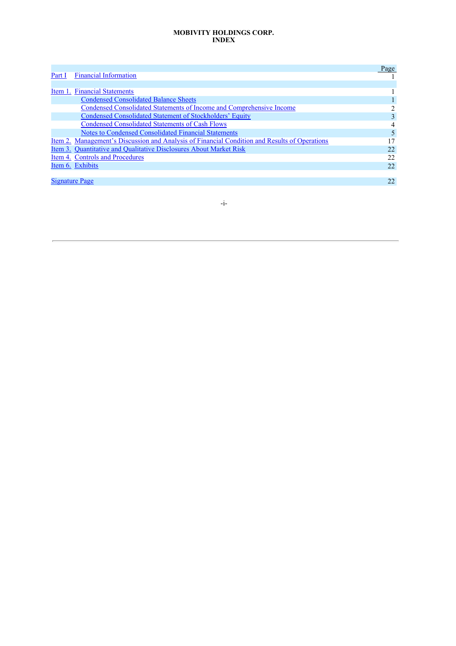## **MOBIVITY HOLDINGS CORP. INDEX**

|                |                                                                                                      | Page |
|----------------|------------------------------------------------------------------------------------------------------|------|
| Part I         | <b>Financial Information</b>                                                                         |      |
|                |                                                                                                      |      |
|                | Item 1. Financial Statements                                                                         |      |
|                | <b>Condensed Consolidated Balance Sheets</b>                                                         |      |
|                | Condensed Consolidated Statements of Income and Comprehensive Income                                 |      |
|                | Condensed Consolidated Statement of Stockholders' Equity                                             |      |
|                | <b>Condensed Consolidated Statements of Cash Flows</b>                                               | 4    |
|                | Notes to Condensed Consolidated Financial Statements                                                 |      |
|                | <u>Item 2. Management's Discussion and Analysis of Financial Condition and Results of Operations</u> | 17   |
|                | Item 3. Quantitative and Qualitative Disclosures About Market Risk                                   | 22.  |
|                | Item 4. Controls and Procedures                                                                      | 22   |
|                | Item 6. Exhibits                                                                                     | 22.  |
|                |                                                                                                      |      |
| Signature Page |                                                                                                      | 22   |

-i-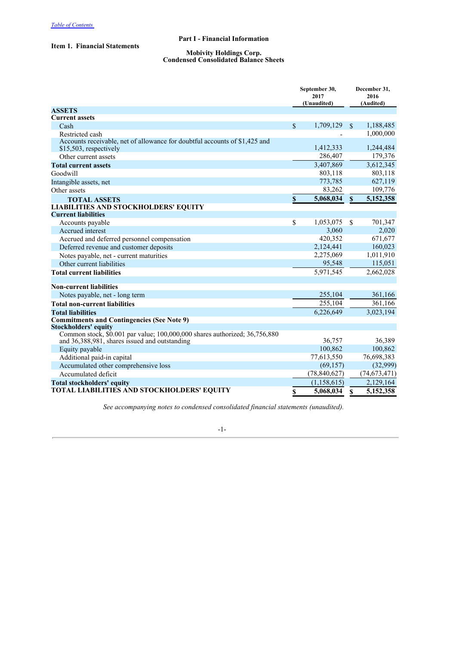## **Part I - Financial Information**

## **Item 1. Financial Statements**

#### **Mobivity Holdings Corp. Condensed Consolidated Balance Sheets**

|                                                                                                                             | September 30,<br>2017<br>(Unaudited) |                |               | December 31,<br>2016<br>(Audited) |
|-----------------------------------------------------------------------------------------------------------------------------|--------------------------------------|----------------|---------------|-----------------------------------|
| <b>ASSETS</b>                                                                                                               |                                      |                |               |                                   |
| <b>Current assets</b>                                                                                                       |                                      |                |               |                                   |
| Cash                                                                                                                        | $\mathbf S$                          | 1,709,129      | $\mathbb{S}$  | 1,188,485                         |
| Restricted cash                                                                                                             |                                      |                |               | 1,000,000                         |
| Accounts receivable, net of allowance for doubtful accounts of \$1,425 and<br>\$15,503, respectively                        |                                      | 1,412,333      |               | 1,244,484                         |
| Other current assets                                                                                                        |                                      | 286,407        |               | 179,376                           |
| <b>Total current assets</b>                                                                                                 |                                      | 3,407,869      |               | 3,612,345                         |
| Goodwill                                                                                                                    |                                      | 803,118        |               | 803,118                           |
| Intangible assets, net                                                                                                      |                                      | 773,785        |               | 627,119                           |
| Other assets                                                                                                                |                                      | 83,262         |               | 109,776                           |
| <b>TOTAL ASSETS</b>                                                                                                         | $\mathbf S$                          | 5,068,034      | $\mathbf{s}$  | 5,152,358                         |
| <b>LIABILITIES AND STOCKHOLDERS' EQUITY</b>                                                                                 |                                      |                |               |                                   |
| <b>Current liabilities</b>                                                                                                  |                                      |                |               |                                   |
| Accounts payable                                                                                                            | \$                                   | 1,053,075      | $\mathcal{S}$ | 701,347                           |
| Accrued interest                                                                                                            |                                      | 3,060          |               | 2,020                             |
| Accrued and deferred personnel compensation                                                                                 |                                      | 420,352        |               | 671,677                           |
| Deferred revenue and customer deposits                                                                                      |                                      | 2,124,441      |               | 160,023                           |
| Notes payable, net - current maturities                                                                                     |                                      | 2,275,069      |               | 1,011,910                         |
| Other current liabilities                                                                                                   |                                      | 95,548         |               | 115,051                           |
| <b>Total current liabilities</b>                                                                                            |                                      | 5.971.545      |               | 2,662,028                         |
| <b>Non-current liabilities</b>                                                                                              |                                      |                |               |                                   |
| Notes payable, net - long term                                                                                              |                                      | 255,104        |               | 361,166                           |
| <b>Total non-current liabilities</b>                                                                                        |                                      | 255,104        |               | 361,166                           |
| <b>Total liabilities</b>                                                                                                    |                                      | 6.226.649      |               | 3.023.194                         |
| <b>Commitments and Contingencies (See Note 9)</b>                                                                           |                                      |                |               |                                   |
| <b>Stockholders' equity</b>                                                                                                 |                                      |                |               |                                   |
| Common stock, \$0.001 par value; 100,000,000 shares authorized; 36,756,880<br>and 36,388,981, shares issued and outstanding |                                      | 36,757         |               | 36,389                            |
| Equity payable                                                                                                              |                                      | 100,862        |               | 100,862                           |
| Additional paid-in capital                                                                                                  |                                      | 77,613,550     |               | 76,698,383                        |
| Accumulated other comprehensive loss                                                                                        |                                      | (69, 157)      |               | (32,999)                          |
| Accumulated deficit                                                                                                         |                                      | (78, 840, 627) |               | (74, 673, 471)                    |
| <b>Total stockholders' equity</b>                                                                                           |                                      | (1, 158, 615)  |               | 2,129,164                         |
| TOTAL LIABILITIES AND STOCKHOLDERS' EQUITY                                                                                  | \$                                   | 5,068,034      | $\mathbf{s}$  | 5.152.358                         |

*See accompanying notes to condensed consolidated financial statements (unaudited).*

## -1-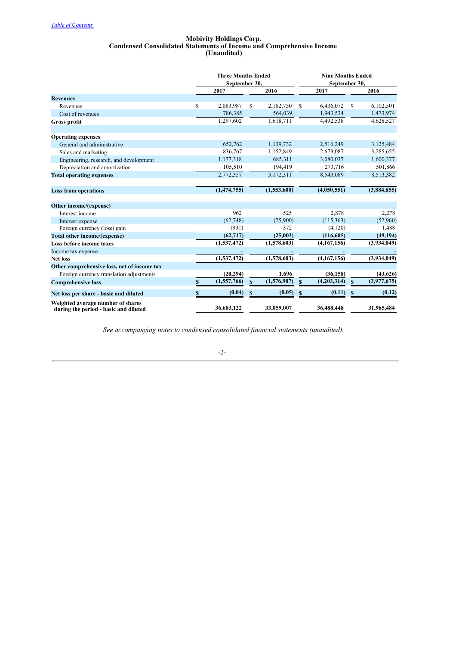#### **Mobivity Holdings Corp. Condensed Consolidated Statements of Income and Comprehensive Income (Unaudited)**

|                                                                            |    | <b>Three Months Ended</b><br>September 30, |              |             |               | <b>Nine Months Ended</b><br>September 30, |               |             |  |
|----------------------------------------------------------------------------|----|--------------------------------------------|--------------|-------------|---------------|-------------------------------------------|---------------|-------------|--|
|                                                                            |    | 2017                                       |              | 2016        |               | 2017                                      |               | 2016        |  |
| <b>Revenues</b>                                                            |    |                                            |              |             |               |                                           |               |             |  |
| Revenues                                                                   | \$ | 2,083,987                                  | $\mathbf S$  | 2,182,750   | <sup>\$</sup> | 6,436,072                                 | $\mathcal{S}$ | 6,102,501   |  |
| Cost of revenues                                                           |    | 786,385                                    |              | 564,039     |               | 1,943,534                                 |               | 1,473,974   |  |
| Gross profit                                                               |    | 1,297,602                                  |              | 1,618,711   |               | 4,492,538                                 |               | 4,628,527   |  |
| <b>Operating expenses</b>                                                  |    |                                            |              |             |               |                                           |               |             |  |
| General and administrative                                                 |    | 652,762                                    |              | 1,139,732   |               | 2,516,249                                 |               | 3,125,484   |  |
| Sales and marketing                                                        |    | 836,767                                    |              | 1,152,849   |               | 2,673,087                                 |               | 3,285,655   |  |
| Engineering, research, and development                                     |    | 1,177,318                                  |              | 685,311     |               | 3,080,037                                 |               | 1,600,377   |  |
| Depreciation and amortization                                              |    | 105,510                                    |              | 194,419     |               | 273,716                                   |               | 501,866     |  |
| <b>Total operating expenses</b>                                            |    | 2,772,357                                  |              | 3,172,311   |               | 8,543,089                                 |               | 8,513,382   |  |
| <b>Loss from operations</b>                                                |    | (1,474,755)                                |              | (1,553,600) |               | (4,050,551)                               |               | (3,884,855) |  |
| Other income/(expense)                                                     |    |                                            |              |             |               |                                           |               |             |  |
| Interest income                                                            |    | 962                                        |              | 525         |               | 2,878                                     |               | 2,278       |  |
| Interest expense                                                           |    | (62,748)                                   |              | (25,900)    |               | (115, 363)                                |               | (52,960)    |  |
| Foreign currency (loss) gain                                               |    | (931)                                      |              | 372         |               | (4,120)                                   |               | 1,488       |  |
| Total other income/(expense)                                               |    | (62, 717)                                  |              | (25,003)    |               | (116, 605)                                |               | (49, 194)   |  |
| <b>Loss before income taxes</b>                                            |    | (1,537,472)                                |              | (1,578,603) |               | (4,167,156)                               |               | (3,934,049) |  |
| Income tax expense                                                         |    |                                            |              |             |               |                                           |               |             |  |
| <b>Net loss</b>                                                            |    | (1,537,472)                                |              | (1,578,603) |               | (4, 167, 156)                             |               | (3,934,049) |  |
| Other comprehensive loss, net of income tax                                |    |                                            |              |             |               |                                           |               |             |  |
| Foreign currency translation adjustments                                   |    | (20, 294)                                  |              | 1.696       |               | (36, 158)                                 |               | (43, 626)   |  |
| <b>Comprehensive loss</b>                                                  | \$ | (1,557,766)                                | $\mathbf{S}$ | (1,576,907) | $\mathbf{s}$  | (4,203,314)                               | $\mathbf{s}$  | (3,977,675) |  |
| Net loss per share - basic and diluted                                     | S  | (0.04)                                     | $\mathbf{s}$ | (0.05)      | \$            | (0.11)                                    | \$            | (0.12)      |  |
| Weighted average number of shares<br>during the period - basic and diluted |    | 36,683,122                                 |              | 33,059,007  |               | 36,488,448                                |               | 31,965,484  |  |

*See accompanying notes to condensed consolidated financial statements (unaudited).*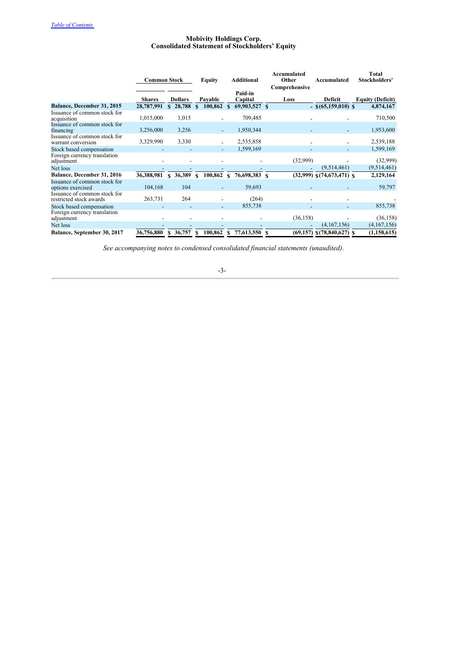## **Mobivity Holdings Corp. Consolidated Statement of Stockholders' Equity**

|                                                         | <b>Common Stock</b> |                        |              | <b>Equity</b> |              | <b>Additional</b>  |  | Accumulated<br>Other<br>Comprehensive | Accumulated                     | Total<br>Stockholders'  |
|---------------------------------------------------------|---------------------|------------------------|--------------|---------------|--------------|--------------------|--|---------------------------------------|---------------------------------|-------------------------|
|                                                         | <b>Shares</b>       | <b>Dollars</b>         |              | Payable       |              | Paid-in<br>Capital |  | Loss                                  | Deficit                         | <b>Equity (Deficit)</b> |
| Balance, December 31, 2015                              | 28,787,991          | 28,788<br>$\mathbf{s}$ | $\mathbf{s}$ | 100,862       | $\mathbf{S}$ | 69,903,527 \$      |  |                                       | $-$ \$(65,159,010) \$           | 4,874,167               |
| Issuance of common stock for<br>acquisition             | 1,015,000           | 1,015                  |              |               |              | 709,485            |  |                                       |                                 | 710,500                 |
| Issuance of common stock for<br>financing               | 3,256,000           | 3,256                  |              |               |              | 1,950,344          |  |                                       |                                 | 1,953,600               |
| Issuance of common stock for<br>warrant conversion      | 3,329,990           | 3,330                  |              |               |              | 2,535,858          |  |                                       |                                 | 2,539,188               |
| Stock based compensation                                |                     |                        |              |               |              | 1,599,169          |  |                                       |                                 | 1,599,169               |
| Foreign currency translation<br>adjustment              |                     |                        |              |               |              |                    |  | (32,999)                              |                                 | (32,999)                |
| Net loss                                                |                     |                        |              |               |              |                    |  |                                       | (9,514,461)                     | (9,514,461)             |
| Balance, December 31, 2016                              | 36,388,981          | 36,389<br>$\mathbf{s}$ | $\mathbf{s}$ | 100,862       | $\mathbf{s}$ | 76,698,383 \$      |  |                                       | $(32,999)$ \$ $(74,673,471)$ \$ | 2,129,164               |
| Issuance of common stock for<br>options exercised       | 104,168             | 104                    |              |               |              | 59,693             |  |                                       |                                 | 59,797                  |
| Issuance of common stock for<br>restricted stock awards | 263,731             | 264                    |              |               |              | (264)              |  |                                       |                                 |                         |
| Stock based compensation                                |                     |                        |              |               |              | 855,738            |  |                                       |                                 | 855,738                 |
| Foreign currency translation<br>adjustment              |                     |                        |              |               |              |                    |  | (36, 158)                             |                                 | (36, 158)               |
| Net loss                                                |                     |                        |              |               |              |                    |  |                                       | (4,167,156)                     | (4,167,156)             |
| Balance, September 30, 2017                             | 36,756,880          | 36,757<br>$\mathbf{s}$ | S            | 100,862       | S            | 77,613,550 \$      |  |                                       | $(69,157)$ \$(78,840,627) \$    | (1, 158, 615)           |

*See accompanying notes to condensed consolidated financial statements (unaudited).*

-3-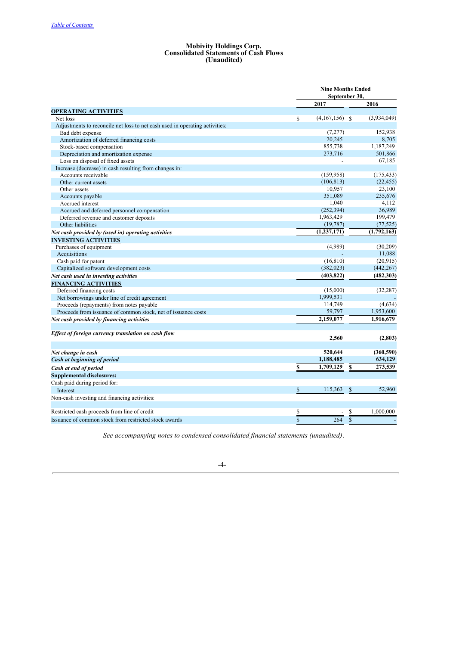#### **Mobivity Holdings Corp. Consolidated Statements of Cash Flows (Unaudited)**

|                                                                             | <b>Nine Months Ended</b>       |               |             |
|-----------------------------------------------------------------------------|--------------------------------|---------------|-------------|
|                                                                             | 2017                           | September 30, | 2016        |
| <b>OPERATING ACTIVITIES</b>                                                 |                                |               |             |
| Net loss                                                                    | S<br>$(4,167,156)$ \$          |               | (3,934,049) |
| Adjustments to reconcile net loss to net cash used in operating activities: |                                |               |             |
| Bad debt expense                                                            | (7, 277)                       |               | 152,938     |
| Amortization of deferred financing costs                                    | 20,245                         |               | 8,705       |
| Stock-based compensation                                                    | 855,738                        |               | 1,187,249   |
| Depreciation and amortization expense                                       | 273,716                        |               | 501,866     |
| Loss on disposal of fixed assets                                            |                                |               | 67,185      |
| Increase (decrease) in cash resulting from changes in:                      |                                |               |             |
| Accounts receivable                                                         | (159, 958)                     |               | (175, 433)  |
| Other current assets                                                        | (106, 813)                     |               | (22, 455)   |
| Other assets                                                                | 10,957                         |               | 23,100      |
| Accounts payable                                                            | 351,089                        |               | 235,676     |
| Accrued interest                                                            | 1,040                          |               | 4,112       |
| Accrued and deferred personnel compensation                                 | (252, 394)                     |               | 36,989      |
| Deferred revenue and customer deposits                                      | 1,963,429                      |               | 199,479     |
| Other liabilities                                                           | (19, 787)                      |               | (77, 525)   |
| Net cash provided by (used in) operating activities                         | (1, 237, 171)                  |               | (1,792,163) |
| <b>INVESTING ACTIVITIES</b>                                                 |                                |               |             |
| Purchases of equipment                                                      | (4,989)                        |               | (30,209)    |
| Acquisitions                                                                |                                |               | 11,088      |
| Cash paid for patent                                                        | (16, 810)                      |               | (20, 915)   |
| Capitalized software development costs                                      | (382, 023)                     |               | (442, 267)  |
| Net cash used in investing activities                                       | (403, 822)                     |               | (482, 303)  |
| <b>FINANCING ACTIVITIES</b>                                                 |                                |               |             |
| Deferred financing costs                                                    | (15,000)                       |               | (32, 287)   |
| Net borrowings under line of credit agreement                               | 1,999,531                      |               |             |
| Proceeds (repayments) from notes payable                                    | 114,749                        |               | (4,634)     |
| Proceeds from issuance of common stock, net of issuance costs               | 59,797                         |               | 1,953,600   |
|                                                                             | 2,159,077                      |               | 1,916,679   |
| Net cash provided by financing activities                                   |                                |               |             |
| Effect of foreign currency translation on cash flow                         | 2,560                          |               | (2,803)     |
|                                                                             |                                |               |             |
| Net change in cash                                                          | 520,644                        |               | (360, 590)  |
| Cash at beginning of period                                                 | 1,188,485                      |               | 634,129     |
| Cash at end of period                                                       | 1,709,129<br>\$                | \$            | 273,539     |
| <b>Supplemental disclosures:</b>                                            |                                |               |             |
| Cash paid during period for:                                                |                                |               |             |
| <b>Interest</b>                                                             | 115,363<br>\$                  | \$            | 52,960      |
|                                                                             |                                |               |             |
| Non-cash investing and financing activities:                                |                                |               |             |
| Restricted cash proceeds from line of credit                                | \$                             | \$            | 1.000.000   |
| Issuance of common stock from restricted stock awards                       | $\overline{\mathbb{S}}$<br>264 | $\mathbf S$   |             |

*See accompanying notes to condensed consolidated financial statements (unaudited).*

-4-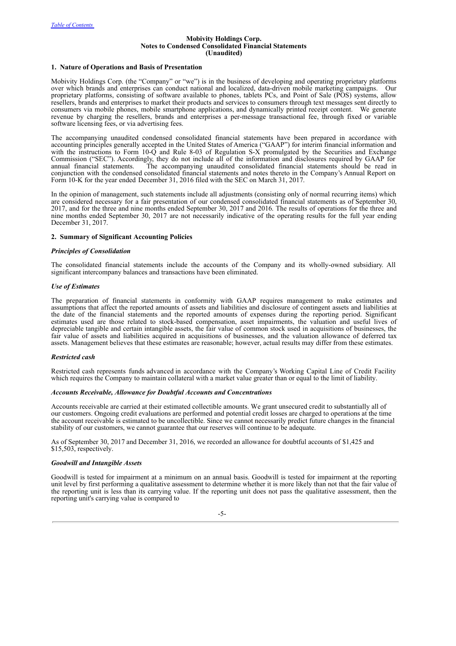#### **Mobivity Holdings Corp. Notes to Condensed Consolidated Financial Statements (Unaudited)**

## **1. Nature of Operations and Basis of Presentation**

Mobivity Holdings Corp. (the "Company" or "we") is in the business of developing and operating proprietary platforms over which brands and enterprises can conduct national and localized, data-driven mobile marketing campaigns. Our proprietary platforms, consisting of software available to phones, tablets PCs, and Point of Sale (POS) systems, allow resellers, brands and enterprises to market their products and services to consumers through text messages sent directly to consumers via mobile phones, mobile smartphone applications, and dynamically printed receipt content. We generate revenue by charging the resellers, brands and enterprises a per-message transactional fee, through fixed or variable software licensing fees, or via advertising fees.

The accompanying unaudited condensed consolidated financial statements have been prepared in accordance with accounting principles generally accepted in the United States of America ("GAAP") for interim financial information and with the instructions to Form 10-Q and Rule 8-03 of Regulation S-X promulgated by the Securities and Exchange Commission ("SEC"). Accordingly, they do not include all of the information and disclosures required by GAAP for annual financial statements. The accompanying unaudited consolidated financial statements should be read in conjunction with the condensed consolidated financial statements and notes thereto in the Company's Annual Report on Form 10-K for the year ended December 31, 2016 filed with the SEC on March 31, 2017.

In the opinion of management, such statements include all adjustments (consisting only of normal recurring items) which are considered necessary for a fair presentation of our condensed consolidated financial statements as of September 30, 2017, and for the three and nine months ended September 30, 2017 and 2016. The results of operations for the three and nine months ended September 30, 2017 are not necessarily indicative of the operating results for the full year ending December 31, 2017.

## **2. Summary of Significant Accounting Policies**

## *Principles of Consolidation*

The consolidated financial statements include the accounts of the Company and its wholly-owned subsidiary. All significant intercompany balances and transactions have been eliminated.

## *Use of Estimates*

The preparation of financial statements in conformity with GAAP requires management to make estimates and assumptions that affect the reported amounts of assets and liabilities and disclosure of contingent assets and liabilities at the date of the financial statements and the reported amounts of expenses during the reporting period. Significant estimates used are those related to stock-based compensation, asset impairments, the valuation and useful lives of depreciable tangible and certain intangible assets, the fair value of common stock used in acquisitions of businesses, the fair value of assets and liabilities acquired in acquisitions of businesses, and the valuation allowance of deferred tax assets. Management believes that these estimates are reasonable; however, actual results may differ from these estimates.

## *Restricted cash*

Restricted cash represents funds advanced in accordance with the Company's Working Capital Line of Credit Facility which requires the Company to maintain collateral with a market value greater than or equal to the limit of liability.

## *Accounts Receivable, Allowance for Doubtful Accounts and Concentrations*

Accounts receivable are carried at their estimated collectible amounts. We grant unsecured credit to substantially all of our customers. Ongoing credit evaluations are performed and potential credit losses are charged to operations at the time the account receivable is estimated to be uncollectible. Since we cannot necessarily predict future changes in the financial stability of our customers, we cannot guarantee that our reserves will continue to be adequate.

As of September 30, 2017 and December 31, 2016, we recorded an allowance for doubtful accounts of \$1,425 and \$15,503, respectively.

## *Goodwill and Intangible Assets*

Goodwill is tested for impairment at a minimum on an annual basis. Goodwill is tested for impairment at the reporting unit level by first performing a qualitative assessment to determine whether it is more likely than not that the fair value of the reporting unit is less than its carrying value. If the reporting unit does not pass the qualitative assessment, then the reporting unit's carrying value is compared to

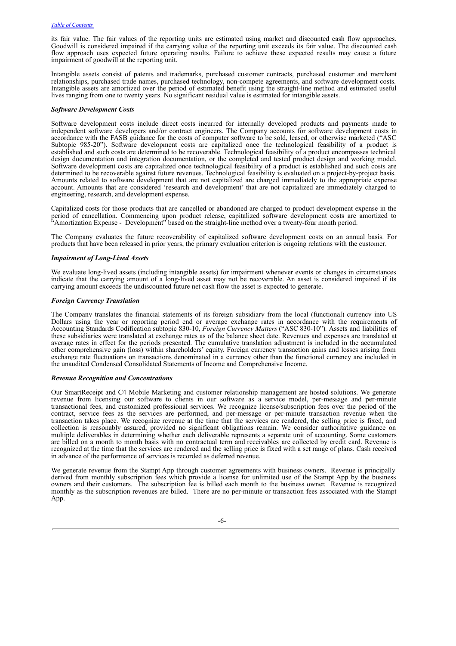its fair value. The fair values of the reporting units are estimated using market and discounted cash flow approaches. Goodwill is considered impaired if the carrying value of the reporting unit exceeds its fair value. The discounted cash flow approach uses expected future operating results. Failure to achieve these expected results may cause a future impairment of goodwill at the reporting unit.

Intangible assets consist of patents and trademarks, purchased customer contracts, purchased customer and merchant relationships, purchased trade names, purchased technology, non-compete agreements, and software development costs. Intangible assets are amortized over the period of estimated benefit using the straight-line method and estimated useful lives ranging from one to twenty years. No significant residual value is estimated for intangible assets.

#### *Software Development Costs*

Software development costs include direct costs incurred for internally developed products and payments made to independent software developers and/or contract engineers. The Company accounts for software development costs in accordance with the FASB guidance for the costs of computer software to be sold, leased, or otherwise marketed ("ASC Subtopic 985-20"). Software development costs are capitalized once the technological feasibility of a product is established and such costs are determined to be recoverable. Technological feasibility of a product encompasses technical design documentation and integration documentation, or the completed and tested product design and working model. Software development costs are capitalized once technological feasibility of a product is established and such costs are determined to be recoverable against future revenues. Technological feasibility is evaluated on a project-by-project basis. Amounts related to software development that are not capitalized are charged immediately to the appropriate expense account. Amounts that are considered 'research and development' that are not capitalized are immediately charged to engineering, research, and development expense.

Capitalized costs for those products that are cancelled or abandoned are charged to product development expense in the period of cancellation. Commencing upon product release, capitalized software development costs are amortized to "Amortization Expense - Development" based on the straight-line method over a twenty-four month period.

The Company evaluates the future recoverability of capitalized software development costs on an annual basis. For products that have been released in prior years, the primary evaluation criterion is ongoing relations with the customer.

## *Impairment of Long-Lived Assets*

We evaluate long-lived assets (including intangible assets) for impairment whenever events or changes in circumstances indicate that the carrying amount of a long-lived asset may not be recoverable. An asset is considered impaired if its carrying amount exceeds the undiscounted future net cash flow the asset is expected to generate.

#### *Foreign Currency Translation*

The Company translates the financial statements of its foreign subsidiary from the local (functional) currency into US Dollars using the year or reporting period end or average exchange rates in accordance with the requirements of Accounting Standards Codification subtopic 830-10, *Foreign Currency Matters* ("ASC 830-10")*.* Assets and liabilities of these subsidiaries were translated at exchange rates as of the balance sheet date. Revenues and expenses are translated at average rates in effect for the periods presented. The cumulative translation adjustment is included in the accumulated other comprehensive gain (loss) within shareholders' equity. Foreign currency transaction gains and losses arising from exchange rate fluctuations on transactions denominated in a currency other than the functional currency are included in the unaudited Condensed Consolidated Statements of Income and Comprehensive Income.

#### *Revenue Recognition and Concentrations*

Our SmartReceipt and C4 Mobile Marketing and customer relationship management are hosted solutions. We generate revenue from licensing our software to clients in our software as a service model, per-message and per-minute transactional fees, and customized professional services. We recognize license/subscription fees over the period of the contract, service fees as the services are performed, and per-message or per-minute transaction revenue when the transaction takes place. We recognize revenue at the time that the services are rendered, the selling price is fixed, and collection is reasonably assured, provided no significant obligations remain. We consider authoritative guidance on multiple deliverables in determining whether each deliverable represents a separate unit of accounting. Some customers are billed on a month to month basis with no contractual term and receivables are collected by credit card. Revenue is recognized at the time that the services are rendered and the selling price is fixed with a set range of plans. Cash received in advance of the performance of services is recorded as deferred revenue.

We generate revenue from the Stampt App through customer agreements with business owners. Revenue is principally derived from monthly subscription fees which provide a license for unlimited use of the Stampt App by the business owners and their customers. The subscription fee is billed each month to the business owner. Revenue is recognized monthly as the subscription revenues are billed. There are no per-minute or transaction fees associated with the Stampt App.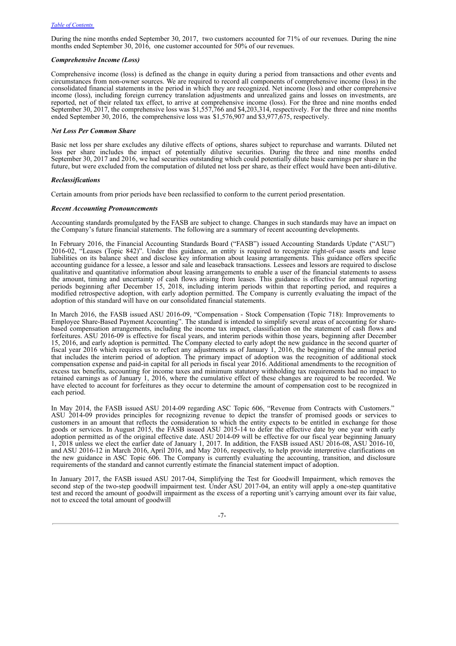During the nine months ended September 30, 2017, two customers accounted for 71% of our revenues. During the nine months ended September 30, 2016, one customer accounted for 50% of our revenues.

## *Comprehensive Income (Loss)*

Comprehensive income (loss) is defined as the change in equity during a period from transactions and other events and circumstances from non-owner sources. We are required to record all components of comprehensive income (loss) in the consolidated financial statements in the period in which they are recognized. Net income (loss) and other comprehensive income (loss), including foreign currency translation adjustments and unrealized gains and losses on investments, are reported, net of their related tax effect, to arrive at comprehensive income (loss). For the three and nine months ended September 30, 2017, the comprehensive loss was \$1,557,766 and \$4,203,314, respectively. For the three and nine months ended September 30, 2016, the comprehensive loss was \$1,576,907 and \$3,977,675, respectively.

#### *Net Loss Per Common Share*

Basic net loss per share excludes any dilutive effects of options, shares subject to repurchase and warrants. Diluted net loss per share includes the impact of potentially dilutive securities. During the three and nine months ended September 30, 2017 and 2016, we had securities outstanding which could potentially dilute basic earnings per share in the future, but were excluded from the computation of diluted net loss per share, as their effect would have been anti-dilutive.

#### *Reclassifications*

Certain amounts from prior periods have been reclassified to conform to the current period presentation.

#### *Recent Accounting Pronouncements*

Accounting standards promulgated by the FASB are subject to change. Changes in such standards may have an impact on the Company's future financial statements. The following are a summary of recent accounting developments.

In February 2016, the Financial Accounting Standards Board ("FASB") issued Accounting Standards Update ("ASU") 2016-02, "Leases (Topic 842)". Under this guidance, an entity is required to recognize right-of-use assets and lease liabilities on its balance sheet and disclose key information about leasing arrangements. This guidance offers specific accounting guidance for a lessee, a lessor and sale and leaseback transactions. Lessees and lessors are required to disclose qualitative and quantitative information about leasing arrangements to enable a user of the financial statements to assess the amount, timing and uncertainty of cash flows arising from leases. This guidance is effective for annual reporting periods beginning after December 15, 2018, including interim periods within that reporting period, and requires a modified retrospective adoption, with early adoption permitted. The Company is currently evaluating the impact of the adoption of this standard will have on our consolidated financial statements.

In March 2016, the FASB issued ASU 2016-09, "Compensation - Stock Compensation (Topic 718): Improvements to Employee Share-Based Payment Accounting". The standard is intended to simplify several areas of accounting for sharebased compensation arrangements, including the income tax impact, classification on the statement of cash flows and forfeitures. ASU 2016-09 is effective for fiscal years, and interim periods within those years, beginning after December 15, 2016, and early adoption is permitted. The Company elected to early adopt the new guidance in the second quarter of fiscal year 2016 which requires us to reflect any adjustments as of January 1, 2016, the beginning of the annual period that includes the interim period of adoption. The primary impact of adoption was the recognition of additional stock compensation expense and paid-in capital for all periods in fiscal year 2016. Additional amendments to the recognition of excess tax benefits, accounting for income taxes and minimum statutory withholding tax requirements had no impact to retained earnings as of January 1, 2016, where the cumulative effect of these changes are required to be recorded. We have elected to account for forfeitures as they occur to determine the amount of compensation cost to be recognized in each period.

In May 2014, the FASB issued ASU 2014-09 regarding ASC Topic 606, "Revenue from Contracts with Customers." ASU 2014-09 provides principles for recognizing revenue to depict the transfer of promised goods or services to customers in an amount that reflects the consideration to which the entity expects to be entitled in exchange for those goods or services. In August 2015, the FASB issued ASU 2015-14 to defer the effective date by one year with early adoption permitted as of the original effective date. ASU 2014-09 will be effective for our fiscal year beginning January 1, 2018 unless we elect the earlier date of January 1, 2017. In addition, the FASB issued ASU 2016-08, ASU 2016-10, and ASU 2016-12 in March 2016, April 2016, and May 2016, respectively, to help provide interpretive clarifications on the new guidance in ASC Topic 606. The Company is currently evaluating the accounting, transition, and disclosure requirements of the standard and cannot currently estimate the financial statement impact of adoption.

In January 2017, the FASB issued ASU 2017-04, Simplifying the Test for Goodwill Impairment, which removes the second step of the two-step goodwill impairment test. Under ASU 2017-04, an entity will apply a one-step quantitative test and record the amount of goodwill impairment as the excess of a reporting unit's carrying amount over its fair value, not to exceed the total amount of goodwill

-7-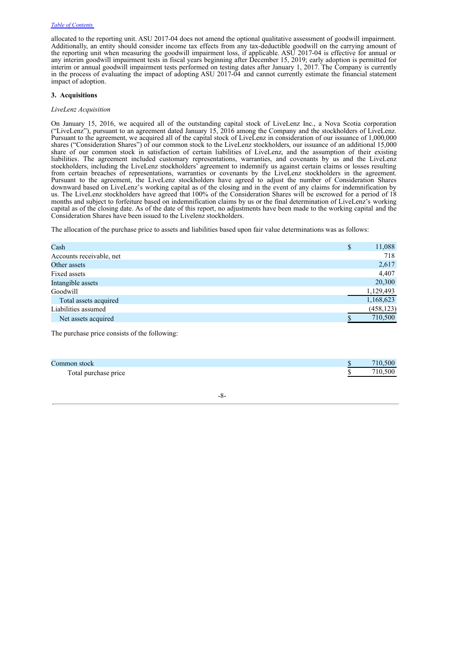allocated to the reporting unit. ASU 2017-04 does not amend the optional qualitative assessment of goodwill impairment. Additionally, an entity should consider income tax effects from any tax-deductible goodwill on the carrying amount of the reporting unit when measuring the goodwill impairment loss, if applicable. ASU 2017-04 is effective for annual or any interim goodwill impairment tests in fiscal years beginning after December 15, 2019; early adoption is permitted for interim or annual goodwill impairment tests performed on testing dates after January 1, 2017. The Company is currently in the process of evaluating the impact of adopting ASU 2017-04 and cannot currently estimate the financial statement impact of adoption.

## **3. Acquisitions**

#### *LiveLenz Acquisition*

On January 15, 2016, we acquired all of the outstanding capital stock of LiveLenz Inc., a Nova Scotia corporation ("LiveLenz"), pursuant to an agreement dated January 15, 2016 among the Company and the stockholders of LiveLenz. Pursuant to the agreement, we acquired all of the capital stock of LiveLenz in consideration of our issuance of 1,000,000 shares ("Consideration Shares") of our common stock to the LiveLenz stockholders, our issuance of an additional 15,000 share of our common stock in satisfaction of certain liabilities of LiveLenz, and the assumption of their existing liabilities. The agreement included customary representations, warranties, and covenants by us and the LiveLenz stockholders, including the LiveLenz stockholders' agreement to indemnify us against certain claims or losses resulting from certain breaches of representations, warranties or covenants by the LiveLenz stockholders in the agreement. Pursuant to the agreement, the LiveLenz stockholders have agreed to adjust the number of Consideration Shares downward based on LiveLenz's working capital as of the closing and in the event of any claims for indemnification by us. The LiveLenz stockholders have agreed that 100% of the Consideration Shares will be escrowed for a period of 18 months and subject to forfeiture based on indemnification claims by us or the final determination of LiveLenz's working capital as of the closing date. As of the date of this report, no adjustments have been made to the working capital and the Consideration Shares have been issued to the Livelenz stockholders.

The allocation of the purchase price to assets and liabilities based upon fair value determinations was as follows:

| Cash                     | \$<br>11,088 |
|--------------------------|--------------|
| Accounts receivable, net | 718          |
| Other assets             | 2,617        |
| Fixed assets             | 4,407        |
| Intangible assets        | 20,300       |
| Goodwill                 | 1,129,493    |
| Total assets acquired    | 1,168,623    |
| Liabilities assumed      | (458, 123)   |
| Net assets acquired      | 710,500      |
|                          |              |

The purchase price consists of the following:

| Common stock         | 710.500 |
|----------------------|---------|
| Total purchase price | 710.500 |

## -8-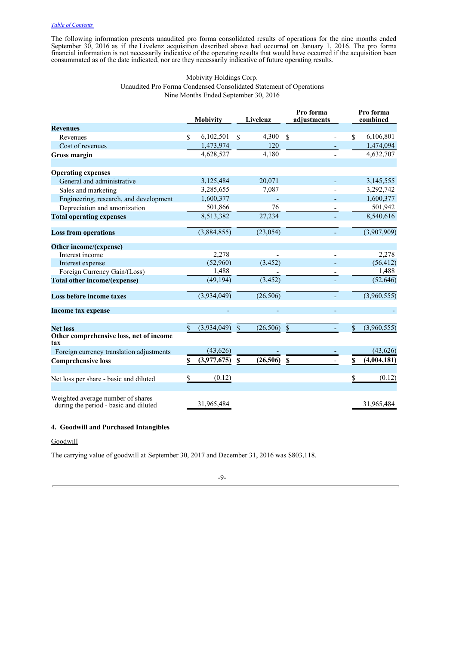The following information presents unaudited pro forma consolidated results of operations for the nine months ended September 30, 2016 as if the Livelenz acquisition described above had occurred on January 1, 2016. The pro forma financial information is not necessarily indicative of the operating results that would have occurred if the acquisition been consummated as of the date indicated, nor are they necessarily indicative of future operating results.

## Mobivity Holdings Corp. Unaudited Pro Forma Condensed Consolidated Statement of Operations Nine Months Ended September 30, 2016

|                                                                            |                    | <b>Mobivity</b> |               | Livelenz  | Pro forma<br>adjustments | Pro forma<br>combined |
|----------------------------------------------------------------------------|--------------------|-----------------|---------------|-----------|--------------------------|-----------------------|
| <b>Revenues</b>                                                            |                    |                 |               |           |                          |                       |
| Revenues                                                                   | $\mathbf{\hat{x}}$ | 6,102,501       | $\mathcal{S}$ | 4,300     | <sup>\$</sup>            | \$<br>6,106,801       |
| Cost of revenues                                                           |                    | 1,473,974       |               | 120       |                          | 1,474,094             |
| <b>Gross margin</b>                                                        |                    | 4,628,527       |               | 4,180     |                          | 4,632,707             |
|                                                                            |                    |                 |               |           |                          |                       |
| <b>Operating expenses</b>                                                  |                    |                 |               |           |                          |                       |
| General and administrative                                                 |                    | 3,125,484       |               | 20,071    |                          | 3,145,555             |
| Sales and marketing                                                        |                    | 3,285,655       |               | 7,087     |                          | 3,292,742             |
| Engineering, research, and development                                     |                    | 1,600,377       |               |           |                          | 1,600,377             |
| Depreciation and amortization                                              |                    | 501,866         |               | 76        |                          | 501,942               |
| <b>Total operating expenses</b>                                            |                    | 8,513,382       |               | 27,234    |                          | 8,540,616             |
| <b>Loss from operations</b>                                                |                    | (3,884,855)     |               | (23, 054) |                          | (3,907,909)           |
| Other income/(expense)                                                     |                    |                 |               |           |                          |                       |
| Interest income                                                            |                    | 2,278           |               |           |                          | 2,278                 |
| Interest expense                                                           |                    | (52,960)        |               | (3, 452)  |                          | (56, 412)             |
| Foreign Currency Gain/(Loss)                                               |                    | 1,488           |               |           |                          | 1,488                 |
| <b>Total other income/(expense)</b>                                        |                    | (49, 194)       |               | (3, 452)  |                          | (52, 646)             |
| Loss before income taxes                                                   |                    | (3,934,049)     |               | (26,506)  |                          | (3,960,555)           |
| Income tax expense                                                         |                    |                 |               |           |                          |                       |
| <b>Net loss</b>                                                            |                    | (3,934,049)     | $\mathbb{S}$  | (26, 506) | $\mathbb{S}$             | (3,960,555)           |
| Other comprehensive loss, net of income<br>tax                             |                    |                 |               |           |                          |                       |
| Foreign currency translation adjustments                                   |                    | (43, 626)       |               |           |                          | (43, 626)             |
| <b>Comprehensive loss</b>                                                  |                    | (3,977,675)     | \$            | (26, 506) | \$                       | (4,004,181)           |
| Net loss per share - basic and diluted                                     |                    | (0.12)          |               |           |                          | \$<br>(0.12)          |
| Weighted average number of shares<br>during the period - basic and diluted |                    | 31,965,484      |               |           |                          | 31,965,484            |

## **4. Goodwill and Purchased Intangibles**

## **Goodwill**

The carrying value of goodwill at September 30, 2017 and December 31, 2016 was \$803,118.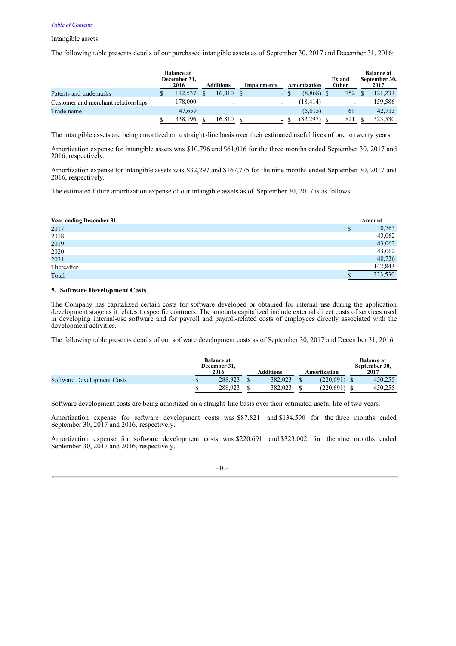## *Table of Contents*

## Intangible assets

The following table presents details of our purchased intangible assets as of September 30, 2017 and December 31, 2016:

|                                     | <b>Balance at</b><br>December 31,<br>2016 | <b>Additions</b> | <b>Impairments</b> | Amortization | <b>Fx</b> and<br>Other | <b>Balance at</b><br>September 30,<br>2017 |
|-------------------------------------|-------------------------------------------|------------------|--------------------|--------------|------------------------|--------------------------------------------|
| Patents and trademarks              | 112.537                                   | 16.810           |                    | $(8,868)$ \$ | 752                    | 121,231                                    |
| Customer and merchant relationships | 178.000                                   | -                |                    | (18, 414)    | ۰                      | 159,586                                    |
| Trade name                          | 47.659                                    | -                |                    | (5,015)      | 69                     | 42.713                                     |
|                                     | 338,196                                   | 16.810           |                    | 32,297       | 821                    | 323,530                                    |

The intangible assets are being amortized on a straight-line basis over their estimated useful lives of one to twenty years.

Amortization expense for intangible assets was \$10,796 and \$61,016 for the three months ended September 30, 2017 and 2016, respectively.

Amortization expense for intangible assets was \$32,297 and \$167,775 for the nine months ended September 30, 2017 and 2016, respectively.

The estimated future amortization expense of our intangible assets as of September 30, 2017 is as follows:

| Year ending December 31, |   | Amount  |
|--------------------------|---|---------|
| 2017                     | ъ | 10,765  |
| 2018                     |   | 43,062  |
| 2019                     |   | 43,062  |
| 2020                     |   | 43,062  |
| 2021                     |   | 40,736  |
| Thereafter               |   | 142,843 |
| Total                    |   | 323,530 |

## **5. Software Development Costs**

The Company has capitalized certain costs for software developed or obtained for internal use during the application development stage as it relates to specific contracts. The amounts capitalized include external direct costs of services used in developing internal-use software and for payroll and payroll-related costs of employees directly associated with the development activities.

The following table presents details of our software development costs as of September 30, 2017 and December 31, 2016:

|                            | <b>Balance at</b><br>December 31. |           |              | <b>Balance at</b><br>September 30, |
|----------------------------|-----------------------------------|-----------|--------------|------------------------------------|
|                            | 2016                              | Additions | Amortization | 2017                               |
| Software Development Costs | 288,923                           | 382,023   | (220.691)    | 450.255                            |
|                            | 288,923                           | 382,023   | (220.691)    | 450.255                            |

Software development costs are being amortized on a straight-line basis over their estimated useful life of two years.

Amortization expense for software development costs was \$87,821 and \$134,590 for the three months ended September 30, 2017 and 2016, respectively.

Amortization expense for software development costs was \$220,691 and \$323,002 for the nine months ended September 30, 2017 and 2016, respectively.

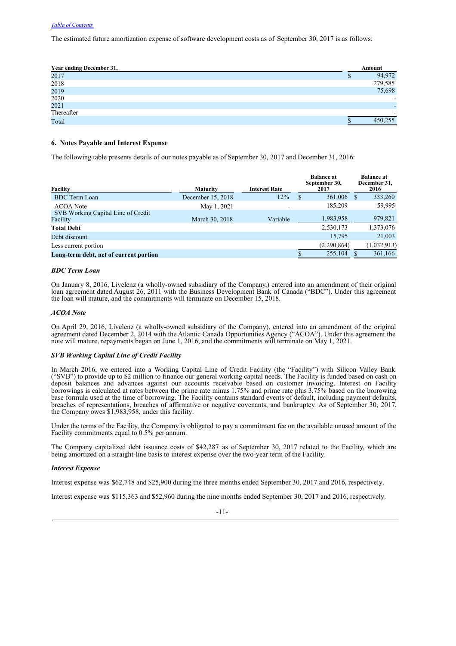The estimated future amortization expense of software development costs as of September 30, 2017 is as follows:

| Year ending December 31, |              | Amount                   |
|--------------------------|--------------|--------------------------|
| 2017                     | $\mathbf{D}$ | 94,972                   |
| 2018                     |              | 279,585                  |
| 2019                     |              | 75,698                   |
| 2020                     |              | $\overline{\phantom{a}}$ |
| 2021                     |              |                          |
| Thereafter               |              | -                        |
| Total                    |              | 450,255                  |

#### **6. Notes Payable and Interest Expense**

The following table presents details of our notes payable as of September 30, 2017 and December 31, 2016:

| Facility                                       | <b>Maturity</b>   | <b>Interest Rate</b> | <b>Balance at</b><br>September 30,<br>2017 |    | <b>Balance at</b><br>December 31,<br>2016 |
|------------------------------------------------|-------------------|----------------------|--------------------------------------------|----|-------------------------------------------|
| <b>BDC</b> Term Loan                           | December 15, 2018 | 12%                  | \$<br>361,006                              | -S | 333,260                                   |
| <b>ACOA</b> Note                               | May 1, 2021       | -                    | 185,209                                    |    | 59,995                                    |
| SVB Working Capital Line of Credit<br>Facility | March 30, 2018    | Variable             | 1,983,958                                  |    | 979,821                                   |
| <b>Total Debt</b>                              |                   |                      | 2,530,173                                  |    | 1,373,076                                 |
| Debt discount                                  |                   |                      | 15,795                                     |    | 21,003                                    |
| Less current portion                           |                   |                      | (2,290,864)                                |    | (1,032,913)                               |
| Long-term debt, net of current portion         |                   |                      | 255,104                                    |    | 361,166                                   |

#### *BDC Term Loan*

On January 8, 2016, Livelenz (a wholly-owned subsidiary of the Company,) entered into an amendment of their original loan agreement dated August 26, 2011 with the Business Development Bank of Canada ("BDC"). Under this agreement the loan will mature, and the commitments will terminate on December 15, 2018.

#### *ACOA Note*

On April 29, 2016, Livelenz (a wholly-owned subsidiary of the Company), entered into an amendment of the original agreement dated December 2, 2014 with the Atlantic Canada Opportunities Agency ("ACOA"). Under this agreement the note will mature, repayments began on June 1, 2016, and the commitments will terminate on May 1, 2021.

## *SVB Working Capital Line of Credit Facility*

In March 2016, we entered into a Working Capital Line of Credit Facility (the "Facility") with Silicon Valley Bank ("SVB") to provide up to \$2 million to finance our general working capital needs. The Facility is funded based on cash on deposit balances and advances against our accounts receivable based on customer invoicing. Interest on Facility borrowings is calculated at rates between the prime rate minus 1.75% and prime rate plus 3.75% based on the borrowing base formula used at the time of borrowing. The Facility contains standard events of default, including payment defaults, breaches of representations, breaches of affirmative or negative covenants, and bankruptcy. As of September 30, 2017, the Company owes \$1,983,958, under this facility.

Under the terms of the Facility, the Company is obligated to pay a commitment fee on the available unused amount of the Facility commitments equal to 0.5% per annum.

The Company capitalized debt issuance costs of \$42,287 as of September 30, 2017 related to the Facility, which are being amortized on a straight-line basis to interest expense over the two-year term of the Facility.

## *Interest Expense*

Interest expense was \$62,748 and \$25,900 during the three months ended September 30, 2017 and 2016, respectively.

Interest expense was \$115,363 and \$52,960 during the nine months ended September 30, 2017 and 2016, respectively.

-11-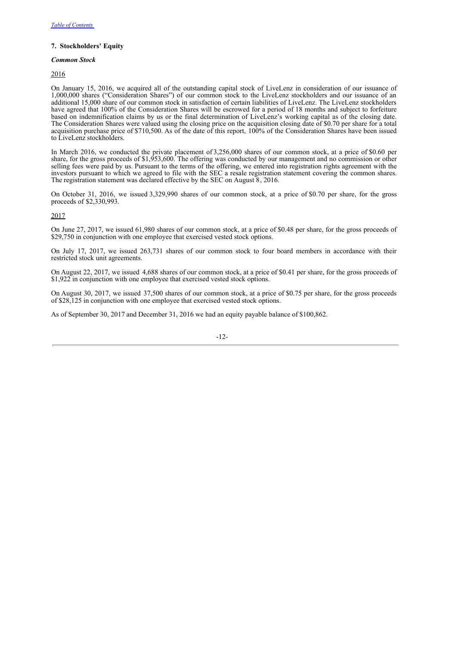## **7. Stockholders' Equity**

## *Common Stock*

2016

On January 15, 2016, we acquired all of the outstanding capital stock of LiveLenz in consideration of our issuance of 1,000,000 shares ("Consideration Shares") of our common stock to the LiveLenz stockholders and our issuance of an additional 15,000 share of our common stock in satisfaction of certain liabilities of LiveLenz. The LiveLenz stockholders have agreed that 100% of the Consideration Shares will be escrowed for a period of 18 months and subject to forfeiture based on indemnification claims by us or the final determination of LiveLenz's working capital as of the closing date. The Consideration Shares were valued using the closing price on the acquisition closing date of \$0.70 per share for a total acquisition purchase price of \$710,500. As of the date of this report, 100% of the Consideration Shares have been issued to LiveLenz stockholders.

In March 2016, we conducted the private placement of 3,256,000 shares of our common stock, at a price of \$0.60 per share, for the gross proceeds of \$1,953,600. The offering was conducted by our management and no commission or other selling fees were paid by us. Pursuant to the terms of the offering, we entered into registration rights agreement with the investors pursuant to which we agreed to file with the SEC a resale registration statement covering the common shares. The registration statement was declared effective by the SEC on August 8, 2016.

On October 31, 2016, we issued 3,329,990 shares of our common stock, at a price of \$0.70 per share, for the gross proceeds of \$2,330,993.

## 2017

On June 27, 2017, we issued 61,980 shares of our common stock, at a price of \$0.48 per share, for the gross proceeds of \$29,750 in conjunction with one employee that exercised vested stock options.

On July 17, 2017, we issued 263,731 shares of our common stock to four board members in accordance with their restricted stock unit agreements.

On August 22, 2017, we issued 4,688 shares of our common stock, at a price of \$0.41 per share, for the gross proceeds of \$1,922 in conjunction with one employee that exercised vested stock options.

On August 30, 2017, we issued 37,500 shares of our common stock, at a price of \$0.75 per share, for the gross proceeds of \$28,125 in conjunction with one employee that exercised vested stock options.

As of September 30, 2017 and December 31, 2016 we had an equity payable balance of \$100,862.

-12-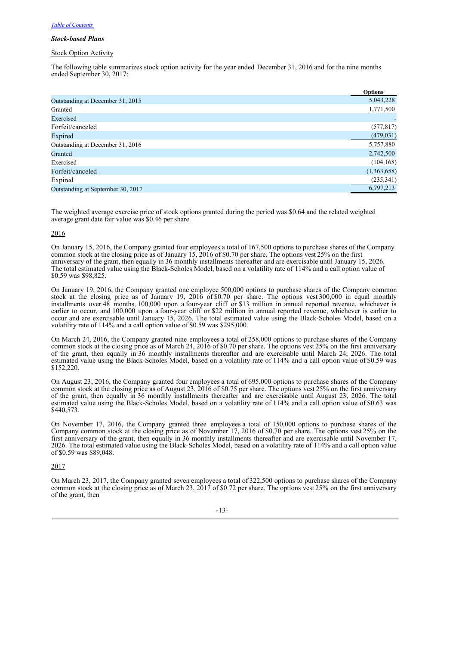#### *Stock-based Plans*

## Stock Option Activity

The following table summarizes stock option activity for the year ended December 31, 2016 and for the nine months ended September 30, 2017:

| 5,043,228   |
|-------------|
| 1,771,500   |
|             |
| (577, 817)  |
| (479, 031)  |
| 5,757,880   |
| 2,742,500   |
| (104, 168)  |
| (1,363,658) |
| (235, 341)  |
| 6,797,213   |
|             |

The weighted average exercise price of stock options granted during the period was \$0.64 and the related weighted average grant date fair value was \$0.46 per share.

## 2016

On January 15, 2016, the Company granted four employees a total of 167,500 options to purchase shares of the Company common stock at the closing price as of January 15, 2016 of \$0.70 per share. The options vest25% on the first anniversary of the grant, then equally in 36 monthly installments thereafter and are exercisable until January 15, 2026. The total estimated value using the Black-Scholes Model, based on a volatility rate of 114% and a call option value of \$0.59 was \$98,825.

On January 19, 2016, the Company granted one employee 500,000 options to purchase shares of the Company common stock at the closing price as of January 19, 2016 of \$0.70 per share. The options vest300,000 in equal monthly installments over 48 months, 100,000 upon a four-year cliff or \$13 million in annual reported revenue, whichever is earlier to occur, and 100,000 upon a four-year cliff or \$22 million in annual reported revenue, whichever is earlier to occur and are exercisable until January 15, 2026. The total estimated value using the Black-Scholes Model, based on a volatility rate of 114% and a call option value of \$0.59 was \$295,000.

On March 24, 2016, the Company granted nine employees a total of 258,000 options to purchase shares of the Company common stock at the closing price as of March 24, 2016 of \$0.70 per share. The options vest25% on the first anniversary of the grant, then equally in 36 monthly installments thereafter and are exercisable until March 24, 2026. The total estimated value using the Black-Scholes Model, based on a volatility rate of 114% and a call option value of \$0.59 was \$152,220.

On August 23, 2016, the Company granted four employees a total of 695,000 options to purchase shares of the Company common stock at the closing price as of August 23, 2016 of \$0.75 per share. The options vest25% on the first anniversary of the grant, then equally in 36 monthly installments thereafter and are exercisable until August 23, 2026. The total estimated value using the Black-Scholes Model, based on a volatility rate of 114% and a call option value of \$0.63 was \$440,573.

On November 17, 2016, the Company granted three employees a total of 150,000 options to purchase shares of the Company common stock at the closing price as of November 17, 2016 of \$0.70 per share. The options vest25% on the first anniversary of the grant, then equally in 36 monthly installments thereafter and are exercisable until November 17, 2026. The total estimated value using the Black-Scholes Model, based on a volatility rate of 114% and a call option value of \$0.59 was \$89,048.

## 2017

On March 23, 2017, the Company granted seven employees a total of 322,500 options to purchase shares of the Company common stock at the closing price as of March 23, 2017 of \$0.72 per share. The options vest  $25\%$  on the first anniversary of the grant, then

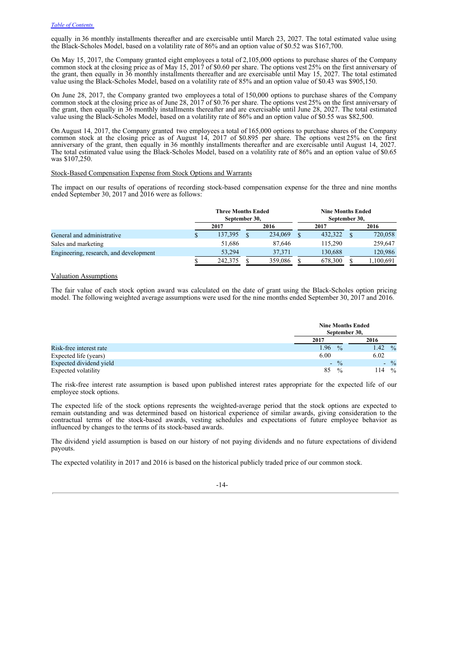equally in 36 monthly installments thereafter and are exercisable until March 23, 2027. The total estimated value using the Black-Scholes Model, based on a volatility rate of 86% and an option value of \$0.52 was \$167,700.

On May 15, 2017, the Company granted eight employees a total of 2,105,000 options to purchase shares of the Company common stock at the closing price as of May 15, 2017 of \$0.60 per share. The options vest 25% on the first anniversary of the grant, then equally in 36 monthly installments thereafter and are exercisable until May 15, 2027. The total estimated value using the Black-Scholes Model, based on a volatility rate of 85% and an option value of \$0.43 was \$905,150.

On June 28, 2017, the Company granted two employees a total of 150,000 options to purchase shares of the Company common stock at the closing price as of June 28, 2017 of \$0.76 per share. The options vest25% on the first anniversary of the grant, then equally in 36 monthly installments thereafter and are exercisable until June 28, 2027. The total estimated value using the Black-Scholes Model, based on a volatility rate of 86% and an option value of \$0.55 was \$82,500.

On August 14, 2017, the Company granted two employees a total of 165,000 options to purchase shares of the Company common stock at the closing price as of August 14, 2017 of \$0.895 per share. The options vest25% on the first anniversary of the grant, then equally in 36 monthly installments thereafter and are exercisable until August 14, 2027. The total estimated value using the Black-Scholes Model, based on a volatility rate of 86% and an option value of \$0.65 was \$107,250.

#### Stock-Based Compensation Expense from Stock Options and Warrants

The impact on our results of operations of recording stock-based compensation expense for the three and nine months ended September 30, 2017 and 2016 were as follows:

|                                        | <b>Three Months Ended</b><br>September 30, |  |         | <b>Nine Months Ended</b><br>September 30, |         |  |           |
|----------------------------------------|--------------------------------------------|--|---------|-------------------------------------------|---------|--|-----------|
|                                        | 2017                                       |  | 2016    |                                           | 2017    |  | 2016      |
| General and administrative             | 137,395                                    |  | 234,069 |                                           | 432,322 |  | 720,058   |
| Sales and marketing                    | 51,686                                     |  | 87,646  |                                           | 115.290 |  | 259,647   |
| Engineering, research, and development | 53,294                                     |  | 37,371  |                                           | 130.688 |  | 120.986   |
|                                        | 242,375                                    |  | 359,086 |                                           | 678,300 |  | 1,100,691 |

## Valuation Assumptions

The fair value of each stock option award was calculated on the date of grant using the Black-Scholes option pricing model. The following weighted average assumptions were used for the nine months ended September 30, 2017 and 2016.

|                         | <b>Nine Months Ended</b><br>September 30, |                       |
|-------------------------|-------------------------------------------|-----------------------|
|                         | 2017                                      | 2016                  |
| Risk-free interest rate | 1.96<br>0/2                               | 1.42<br>$\frac{0}{0}$ |
| Expected life (years)   | 6.00                                      | 6.02                  |
| Expected dividend yield | $\frac{0}{0}$<br>$\omega$                 | $-$ %                 |
| Expected volatility     | 85<br>$\frac{0}{0}$                       | $\frac{0}{0}$<br>114  |

The risk-free interest rate assumption is based upon published interest rates appropriate for the expected life of our employee stock options.

The expected life of the stock options represents the weighted-average period that the stock options are expected to remain outstanding and was determined based on historical experience of similar awards, giving consideration to the contractual terms of the stock-based awards, vesting schedules and expectations of future employee behavior as influenced by changes to the terms of its stock-based awards.

The dividend yield assumption is based on our history of not paying dividends and no future expectations of dividend payouts.

The expected volatility in 2017 and 2016 is based on the historical publicly traded price of our common stock.

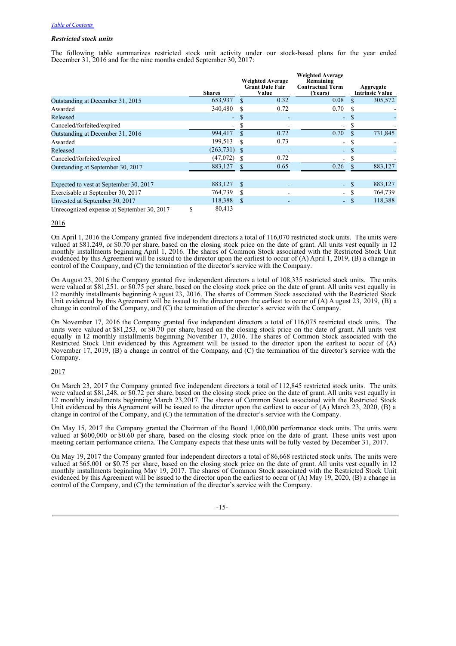## *Restricted stock units*

The following table summarizes restricted stock unit activity under our stock-based plans for the year ended December 31, 2016 and for the nine months ended September 30, 2017:

|                                            | <b>Shares</b>            |          | <b>Weighted Average</b><br><b>Grant Date Fair</b><br>Value | <b>Weighted Average</b><br>Remaining<br><b>Contractual Term</b><br>(Years) |      | Aggregate<br><b>Intrinsic Value</b> |
|--------------------------------------------|--------------------------|----------|------------------------------------------------------------|----------------------------------------------------------------------------|------|-------------------------------------|
| Outstanding at December 31, 2015           | 653,937                  | \$       | 0.32                                                       | 0.08                                                                       | \$.  | 305,572                             |
| Awarded                                    | 340,480                  |          | 0.72                                                       | 0.70                                                                       |      |                                     |
| Released                                   | ٠                        | S        |                                                            | ÷                                                                          | - \$ |                                     |
| Canceled/forfeited/expired                 | $\overline{\phantom{a}}$ | \$       |                                                            | ٠                                                                          | \$   |                                     |
| Outstanding at December 31, 2016           | 994,417                  |          | 0.72                                                       | 0.70                                                                       |      | 731,845                             |
| Awarded                                    | 199,513                  | \$       | 0.73                                                       | $\sim$                                                                     | S    |                                     |
| Released                                   | (263, 731)               | <b>S</b> |                                                            | ÷.                                                                         | -S   |                                     |
| Canceled/forfeited/expired                 | (47,072)                 | S        | 0.72                                                       | $\overline{\phantom{0}}$                                                   | -S   |                                     |
| Outstanding at September 30, 2017          | 883,127                  |          | 0.65                                                       | 0.26                                                                       |      | 883,127                             |
|                                            |                          |          |                                                            |                                                                            |      |                                     |
| Expected to vest at September 30, 2017     | 883,127                  | \$.      |                                                            |                                                                            | - \$ | 883,127                             |
| Exercisable at September 30, 2017          | 764,739                  | S        |                                                            | $\blacksquare$                                                             | -S   | 764,739                             |
| Unvested at September 30, 2017             | 118,388                  | \$.      |                                                            |                                                                            | - \$ | 118,388                             |
| Unrecognized expense at September 30, 2017 | \$<br>80,413             |          |                                                            |                                                                            |      |                                     |

## 2016

On April 1, 2016 the Company granted five independent directors a total of 116,070 restricted stock units. The units were valued at \$81,249, or \$0.70 per share, based on the closing stock price on the date of grant. All units vest equally in 12 monthly installments beginning April 1, 2016. The shares of Common Stock associated with the Restricted Stock Unit evidenced by this Agreement will be issued to the director upon the earliest to occur of (A) April 1, 2019, (B) a change in control of the Company, and (C) the termination of the director's service with the Company.

On August 23, 2016 the Company granted five independent directors a total of 108,335 restricted stock units. The units were valued at \$81,251, or \$0.75 per share, based on the closing stock price on the date of grant. All units vest equally in 12 monthly installments beginning August 23, 2016. The shares of Common Stock associated with the Restricted Stock Unit evidenced by this Agreement will be issued to the director upon the earliest to occur of (A) A ugust 23, 2019, (B) a change in control of the Company, and (C) the termination of the director's service with the Company.

On November 17, 2016 the Company granted five independent directors a total of 116,075 restricted stock units. The units were valued at \$81,253, or \$0.70 per share, based on the closing stock price on the date of grant. All units vest equally in 12 monthly installments beginning November 17, 2016. The shares of Common Stock associated with the Restricted Stock Unit evidenced by this Agreement will be issued to the director upon the earliest to occur of (A) November 17, 2019, (B) a change in control of the Company, and (C) the termination of the director's service with the Company.

## 2017

On March 23, 2017 the Company granted five independent directors a total of 112,845 restricted stock units. The units were valued at \$81,248, or \$0.72 per share, based on the closing stock price on the date of grant. All units vest equally in 12 monthly installments beginning March 23,2017. The shares of Common Stock associated with the Restricted Stock Unit evidenced by this Agreement will be issued to the director upon the earliest to occur of (A) March 23, 2020, (B) a change in control of the Company, and (C) the termination of the director's service with the Company.

On May 15, 2017 the Company granted the Chairman of the Board 1,000,000 performance stock units. The units were valued at \$600,000 or \$0.60 per share, based on the closing stock price on the date of grant. These units vest upon meeting certain performance criteria. The Company expects that these units will be fully vested by December 31, 2017.

On May 19, 2017 the Company granted four independent directors a total of 86,668 restricted stock units. The units were valued at \$65,001 or \$0.75 per share, based on the closing stock price on the date of grant. All units vest equally in 12 monthly installments beginning May 19, 2017. The shares of Common Stock associated with the Restricted Stock Unit evidenced by this Agreement will be issued to the director upon the earliest to occur of (A) May 19, 2020, (B) a change in control of the Company, and (C) the termination of the director's service with the Company.

-15-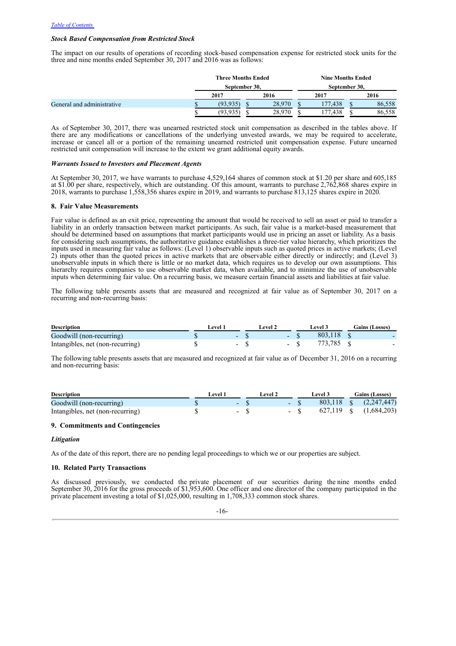## *Stock Based Compensation from Restricted Stock*

The impact on our results of operations of recording stock-based compensation expense for restricted stock units for the three and nine months ended September 30, 2017 and 2016 was as follows:

|                            | <b>Three Months Ended</b> |  |        | <b>Nine Months Ended</b> |        |  |        |
|----------------------------|---------------------------|--|--------|--------------------------|--------|--|--------|
|                            | September 30.             |  |        | September 30.            |        |  |        |
|                            | 2017                      |  | 2016   |                          | 2017   |  | 2016   |
| General and administrative | (93.935)                  |  | 28,970 |                          | 77,438 |  | 86.558 |
|                            | (93.935)                  |  | 28,970 |                          | .438   |  | 86.558 |

As of September 30, 2017, there was unearned restricted stock unit compensation as described in the tables above. If there are any modifications or cancellations of the underlying unvested awards, we may be required to accelerate, increase or cancel all or a portion of the remaining unearned restricted unit compensation expense. Future unearned restricted unit compensation will increase to the extent we grant additional equity awards.

#### *Warrants Issued to Investors and Placement Agents*

At September 30, 2017, we have warrants to purchase 4,529,164 shares of common stock at \$1.20 per share and 605,185 at \$1.00 per share, respectively, which are outstanding. Of this amount, warrants to purchase 2,762,868 shares expire in 2018, warrants to purchase 1,558,356 shares expire in 2019, and warrants to purchase 813,125 shares expire in 2020.

#### **8. Fair Value Measurements**

Fair value is defined as an exit price, representing the amount that would be received to sell an asset or paid to transfer a liability in an orderly transaction between market participants. As such, fair value is a market-based measurement that should be determined based on assumptions that market participants would use in pricing an asset or liability. As a basis for considering such assumptions, the authoritative guidance establishes a three-tier value hierarchy, which prioritizes the inputs used in measuring fair value as follows: (Level 1) observable inputs such as quoted prices in active markets; (Level 2) inputs other than the quoted prices in active markets that are observable either directly or indirectly; and (Level 3) unobservable inputs in which there is little or no market data, which requires us to develop our own assumptions. This hierarchy requires companies to use observable market data, when available, and to minimize the use of unobservable inputs when determining fair value. On a recurring basis, we measure certain financial assets and liabilities at fair value.

The following table presents assets that are measured and recognized at fair value as of September 30, 2017 on a recurring and non-recurring basis:

| <b>Description</b>               | Level . |      | Level 2 |      | Level 3    | <b>Gains (Losses)</b> |
|----------------------------------|---------|------|---------|------|------------|-----------------------|
| Goodwill (non-recurring)         |         |      |         |      | 803.118 \$ |                       |
| Intangibles, net (non-recurring) |         | - 35 |         | $-8$ | 773.785 \$ |                       |

The following table presents assets that are measured and recognized at fair value as of December 31, 2016 on a recurring and non-recurring basis:

| <b>Description</b>               | Level 1 |  | Level 2 | Level 3 | Gains (Losses)         |
|----------------------------------|---------|--|---------|---------|------------------------|
| Goodwill (non-recurring)         |         |  |         |         | 803,118 \$ (2,247,447) |
| Intangibles, net (non-recurring) |         |  |         |         | 627,119 \$ (1,684,203) |

## **9. Commitments and Contingencies**

#### *Litigation*

As of the date of this report, there are no pending legal proceedings to which we or our properties are subject.

## **10. Related Party Transactions**

As discussed previously, we conducted the private placement of our securities during the nine months ended September 30, 2016 for the gross proceeds of \$1,953,600. One officer and one directorof the company participated in the private placement investing a total of \$1,025,000, resulting in 1,708,333 common stock shares.

-16-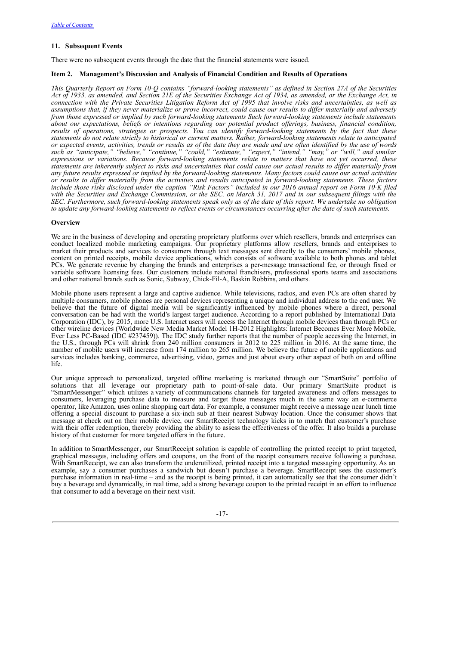## **11. Subsequent Events**

There were no subsequent events through the date that the financial statements were issued.

#### **Item 2. Management's Discussion and Analysis of Financial Condition and Results of Operations**

This Quarterly Report on Form 10-Q contains "forward-looking statements" as defined in Section 27A of the Securities Act of 1933, as amended, and Section 21E of the Securities Exchange Act of 1934, as amended, or the Exchange Act, in connection with the Private Securities Litigation Reform Act of 1995 that involve risks and uncertainties, as well as assumptions that, if they never materialize or prove incorrect, could cause our results to differ materially and adversely *from those expressed or implied by such forward-looking statements Such forward-looking statements include statements about our expectations, beliefs or intentions regarding our potential product of erings, business, financial condition,* results of operations, strategies or prospects. You can identify forward-looking statements by the fact that these statements do not relate strictly to historical or current matters. Rather, forward-looking statements relate to anticipated or expected events, activities, trends or results as of the date they are made and are often identified by the use of words *such as "anticipate," "believe," "continue," "could," "estimate," "expect," "intend," "may," or "will," and similar expressions or variations. Because forward-looking statements relate to matters that have not yet occurred, these* statements are inherently subject to risks and uncertainties that could cause our actual results to differ materially from any future results expressed or implied by the forward-looking statements. Many factors could cause our actual activities or results to differ materially from the activities and results anticipated in forward-looking statements. These factors include those risks disclosed under the caption "Risk Factors" included in our 2016 annual report on Form 10-K filed with the Securities and Exchange Commission, or the SEC, on March 31, 2017 and in our subsequent filings with the SEC. Furthermore, such forward-looking statements speak only as of the date of this report. We undertake no obligation to update any forward-looking statements to reflect events or circumstances occurring after the date of such statements.

## **Overview**

We are in the business of developing and operating proprietary platforms over which resellers, brands and enterprises can conduct localized mobile marketing campaigns. Our proprietary platforms allow resellers, brands and enterprises to market their products and services to consumers through text messages sent directly to the consumers' mobile phones, content on printed receipts, mobile device applications, which consists of software available to both phones and tablet PCs. We generate revenue by charging the brands and enterprises a per-message transactional fee, or through fixed or variable software licensing fees. Our customers include national franchisers, professional sports teams and associations and other national brands such as Sonic, Subway, Chick-Fil-A, Baskin Robbins, and others.

Mobile phone users represent a large and captive audience. While televisions, radios, and even PCs are often shared by multiple consumers, mobile phones are personal devices representing a unique and individual address to the end user. We believe that the future of digital media will be significantly influenced by mobile phones where a direct, personal conversation can be had with the world's largest target audience. According to a report published by International Data Corporation (IDC), by 2015, more U.S. Internet users will access the Internet through mobile devices than through PCs or other wireline devices (Worldwide New Media Market Model 1H-2012 Highlights: Internet Becomes Ever More Mobile, Ever Less PC-Based (IDC #237459)). The IDC study further reports that the number of people accessing the Internet, in the U.S., through PCs will shrink from 240 million consumers in 2012 to 225 million in 2016. At the same time, the number of mobile users will increase from 174 million to 265 million. We believe the future of mobile applications and services includes banking, commerce, advertising, video, games and just about every other aspect of both on and offline life.

Our unique approach to personalized, targeted offline marketing is marketed through our "SmartSuite" portfolio of solutions that all leverage our proprietary path to point-of-sale data. Our primary SmartSuite product is "SmartMessenger" which utilizes a variety of communications channels for targeted awareness and offers messages to consumers, leveraging purchase data to measure and target those messages much in the same way an e-commerce operator, like Amazon, uses online shopping cart data. For example, a consumer might receive a message near lunch time offering a special discount to purchase a six-inch sub at their nearest Subway location. Once the consumer shows that message at check out on their mobile device, our SmartReceipt technology kicks in to match that customer's purchase with their offer redemption, thereby providing the ability to assess the effectiveness of the offer. It also builds a purchase history of that customer for more targeted offers in the future.

In addition to SmartMessenger, our SmartReceipt solution is capable of controlling the printed receipt to print targeted, graphical messages, including offers and coupons, on the front of the receipt consumers receive following a purchase. With SmartReceipt, we can also transform the underutilized, printed receipt into a targeted messaging opportunity. As an example, say a consumer purchases a sandwich but doesn't purchase a beverage. SmartReceipt sees the customer's purchase information in real-time – and as the receipt is being printed, it can automatically see that the consumer didn't buy a beverage and dynamically, in real time, add a strong beverage coupon to the printed receipt in an effort to influence that consumer to add a beverage on their next visit.

-17-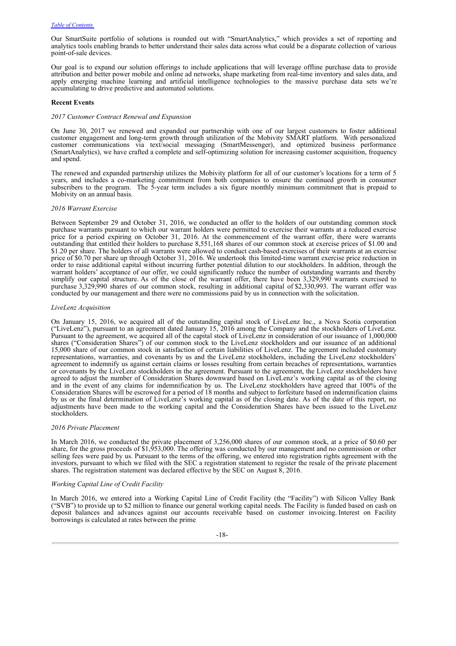#### *Table of Contents*

Our SmartSuite portfolio of solutions is rounded out with "SmartAnalytics," which provides a set of reporting and analytics tools enabling brands to better understand their sales data across what could be a disparate collection of various point-of-sale devices.

Our goal is to expand our solution offerings to include applications that will leverage offline purchase data to provide attribution and better power mobile and online ad networks, shape marketing from real-time inventory and sales data, and apply emerging machine learning and artificial intelligence technologies to the massive purchase data sets we're accumulating to drive predictive and automated solutions.

## **Recent Events**

## *2017 Customer Contract Renewal and Expansion*

On June 30, 2017 we renewed and expanded our partnership with one of our largest customers to foster additional customer engagement and long-term growth through utilization of the Mobivity SMART platform. With personalized customer communications via text/social messaging (SmartMessenger), and optimized business performance (SmartAnalytics), we have crafted a complete and self-optimizing solution for increasing customer acquisition, frequency and spend.

The renewed and expanded partnership utilizes the Mobivity platform for all of our customer's locations for a term of 5 years, and includes a co-marketing commitment from both companies to ensure the continued growth in consumer subscribers to the program. The 5-year term includes a six figure monthly minimum commitment that is prepaid to Mobivity on an annual basis.

#### *2016 Warrant Exercise*

Between September 29 and October 31, 2016, we conducted an offer to the holders of our outstanding common stock purchase warrants pursuant to which our warrant holders were permitted to exercise their warrants at a reduced exercise price for a period expiring on October 31, 2016. At the commencement of the warrant offer, there were warrants outstanding that entitled their holders to purchase 8,551,168 shares of our common stock at exercise prices of \$1.00 and \$1.20 per share. The holders of all warrants were allowed to conduct cash-based exercises of their warrants at an exercise price of \$0.70 per share up through October 31, 2016. We undertook this limited-time warrant exercise price reduction in order to raise additional capital without incurring further potential dilution to our stockholders. In addition, through the warrant holders' acceptance of our offer, we could significantly reduce the number of outstanding warrants and thereby simplify our capital structure. As of the close of the warrant offer, there have been 3,329,990 warrants exercised to purchase 3,329,990 shares of our common stock, resulting in additional capital of \$2,330,993. The warrant offer was conducted by our management and there were no commissions paid by us in connection with the solicitation.

#### *LiveLenz Acquisition*

On January 15, 2016, we acquired all of the outstanding capital stock of LiveLenz Inc., a Nova Scotia corporation ("LiveLenz"), pursuant to an agreement dated January 15, 2016 among the Company and the stockholders of LiveLenz. Pursuant to the agreement, we acquired all of the capital stock of LiveLenz in consideration of our issuance of 1,000,000 shares ("Consideration Shares") of our common stock to the LiveLenz stockholders and our issuance of an additional 15,000 share of our common stock in satisfaction of certain liabilities of LiveLenz. The agreement included customary representations, warranties, and covenants by us and the LiveLenz stockholders, including the LiveLenz stockholders' agreement to indemnify us against certain claims or losses resulting from certain breaches of representations, warranties or covenants by the LiveLenz stockholders in the agreement. Pursuant to the agreement, the LiveLenz stockholders have agreed to adjust the number of Consideration Shares downward based on LiveLenz's working capital as of the closing and in the event of any claims for indemnification by us. The LiveLenz stockholders have agreed that 100% of the Consideration Shares will be escrowed for a period of 18 months and subject to forfeiture based on indemnification claims by us or the final determination of LiveLenz's working capital as of the closing date. As of the date of this report, no adjustments have been made to the working capital and the Consideration Shares have been issued to the LiveLenz stockholders.

## *2016 Private Placement*

In March 2016, we conducted the private placement of 3,256,000 shares of our common stock, at a price of \$0.60 per share, for the gross proceeds of \$1,953,000. The offering was conducted by our management and no commission or other selling fees were paid by us. Pursuant to the terms of the offering, we entered into registration rights agreement with the investors, pursuant to which we filed with the SEC a registration statement to register the resale of the private placement shares. The registration statement was declared effective by the SEC on August  $\tilde{8}$ , 2016.

## *Working Capital Line of Credit Facility*

In March 2016, we entered into a Working Capital Line of Credit Facility (the "Facility") with Silicon Valley Bank ("SVB") to provide up to \$2 million to finance our general working capital needs. The Facility is funded based on cash on deposit balances and advances against our accounts receivable based on customer invoicing. Interest on Facility borrowings is calculated at rates between the prime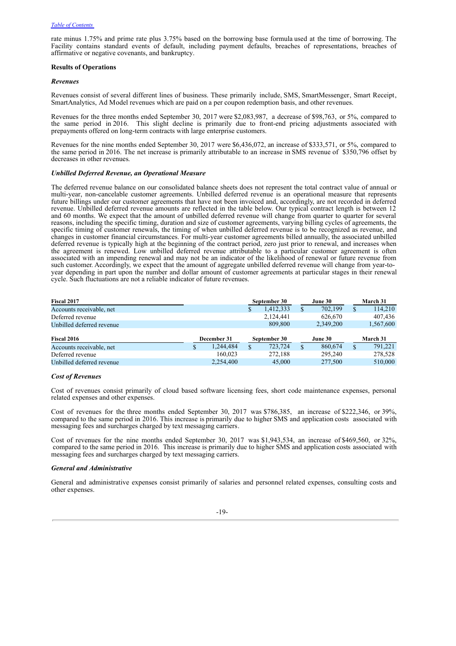rate minus 1.75% and prime rate plus 3.75% based on the borrowing base formula used at the time of borrowing. The Facility contains standard events of default, including payment defaults, breaches of representations, breaches of affirmative or negative covenants, and bankruptcy.

#### **Results of Operations**

#### *Revenues*

Revenues consist of several different lines of business. These primarily include, SMS, SmartMessenger, Smart Receipt, SmartAnalytics, Ad Model revenues which are paid on a per coupon redemption basis, and other revenues.

Revenues for the three months ended September 30, 2017 were \$2,083,987, a decrease of \$98,763, or 5%, compared to the same period in 2016. This slight decline is primarily due to front-end pricing adjustments associated with prepayments offered on long-term contracts with large enterprise customers.

Revenues for the nine months ended September 30, 2017 were \$6,436,072, an increase of \$333,571, or 5%, compared to the same period in 2016. The net increase is primarily attributable to an increase in SMS revenue of \$350,796 offset by decreases in other revenues.

#### *Unbilled Deferred Revenue, an Operational Measure*

The deferred revenue balance on our consolidated balance sheets does not represent the total contract value of annual or multi-year, non-cancelable customer agreements. Unbilled deferred revenue is an operational measure that represents future billings under our customer agreements that have not been invoiced and, accordingly, are not recorded in deferred revenue. Unbilled deferred revenue amounts are reflected in the table below. Our typical contract length is between 12 and 60 months. We expect that the amount of unbilled deferred revenue will change from quarter to quarter for several reasons, including the specific timing, duration and size of customer agreements, varying billing cycles of agreements, the specific timing of customer renewals, the timing of when unbilled deferred revenue is to be recognized as revenue, and changes in customer financial circumstances. For multi-year customer agreements billed annually, the associated unbilled deferred revenue is typically high at the beginning of the contract period, zero just prior to renewal, and increases when the agreement is renewed. Low unbilled deferred revenue attributable to a particular customer agreement is often associated with an impending renewal and may not be an indicator of the likelihood of renewal or future revenue from such customer. Accordingly, we expect that the amount of aggregate unbilled deferred revenue will change from year-toyear depending in part upon the number and dollar amount of customer agreements at particular stages in their renewal cycle. Such fluctuations are not a reliable indicator of future revenues.

| Fiscal 2017               |             |   | September 30 |    | June 30   |   | March 31  |
|---------------------------|-------------|---|--------------|----|-----------|---|-----------|
| Accounts receivable, net  |             |   | 1,412,333    | S  | 702,199   | S | 114,210   |
| Deferred revenue          |             |   | 2,124,441    |    | 626,670   |   | 407,436   |
| Unbilled deferred revenue |             |   | 809,800      |    | 2,349,200 |   | 1,567,600 |
|                           |             |   |              |    |           |   |           |
|                           |             |   |              |    |           |   |           |
| Fiscal 2016               | December 31 |   | September 30 |    | June 30   |   | March 31  |
| Accounts receivable, net  | 1,244,484   | ъ | 723,724      | \$ | 860,674   | S | 791.221   |
| Deferred revenue          | 160.023     |   | 272.188      |    | 295,240   |   | 278,528   |
| Unbilled deferred revenue | 2,254,400   |   | 45,000       |    | 277,500   |   | 510,000   |

#### *Cost of Revenues*

Cost of revenues consist primarily of cloud based software licensing fees, short code maintenance expenses, personal related expenses and other expenses.

Cost of revenues for the three months ended September 30, 2017 was \$786,385, an increase of \$222,346, or 39%, compared to the same period in 2016. This increase is primarily due to higher SMS and application costs associated with messaging fees and surcharges charged by text messaging carriers.

Cost of revenues for the nine months ended September 30, 2017 was \$1,943,534, an increase of \$469,560, or 32%, compared to the same period in 2016. This increase is primarily due to higher SMS and application costs associated with messaging fees and surcharges charged by text messaging carriers.

#### *General and Administrative*

General and administrative expenses consist primarily of salaries and personnel related expenses, consulting costs and other expenses.

-19-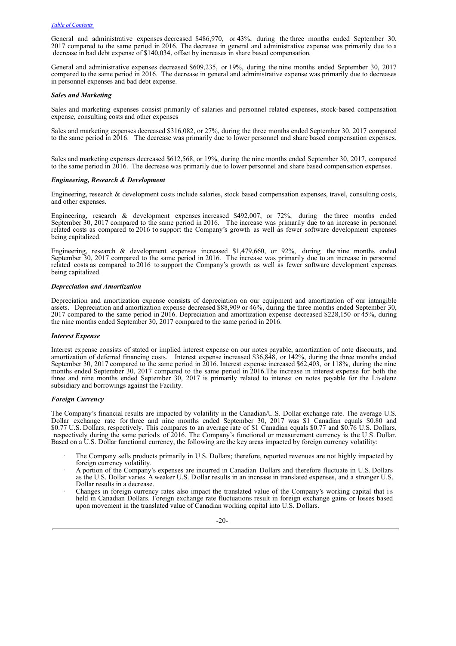General and administrative expenses decreased \$486,970, or 43%, during the three months ended September 30, 2017 compared to the same period in 2016. The decrease in general and administrative expense was primarily due to a decrease in bad debt expense of \$140,034, offset by increases in share based compensation.

General and administrative expenses decreased \$609,235, or 19%, during the nine months ended September 30, 2017 compared to the same period in 2016. The decrease in general and administrative expense was primarily due to decreases in personnel expenses and bad debt expense.

#### *Sales and Marketing*

Sales and marketing expenses consist primarily of salaries and personnel related expenses, stock-based compensation expense, consulting costs and other expenses

Sales and marketing expenses decreased \$316,082, or 27%, during the three months ended September 30, 2017 compared to the same period in 2016. The decrease was primarily due to lower personnel and share based compensation expenses.

Sales and marketing expenses decreased \$612,568, or 19%, during the nine months ended September 30, 2017, compared to the same period in 2016. The decrease was primarily due to lower personnel and share based compensation expenses.

## *Engineering, Research & Development*

Engineering, research & development costs include salaries, stock based compensation expenses, travel, consulting costs, and other expenses.

Engineering, research & development expenses increased \$492,007, or 72%, during the three months ended September 30, 2017 compared to the same period in 2016. The increase was primarily due to an increase in personnel related costs as compared to 2016 to support the Company's growth as well as fewer software development expenses being capitalized.

Engineering, research & development expenses increased \$1,479,660, or 92%, during the nine months ended September 30, 2017 compared to the same period in 2016. The increase was primarily due to an increase in personnel related costs as compared to 2016 to support the Company's growth as well as fewer software development expenses being capitalized.

#### *Depreciation and Amortization*

Depreciation and amortization expense consists of depreciation on our equipment and amortization of our intangible assets. Depreciation and amortization expense decreased \$88,909 or 46%, during the three months ended September 30, 2017 compared to the same period in 2016. Depreciation and amortization expense decreased \$228,150 or 45%, during the nine months ended September 30, 2017 compared to the same period in 2016.

## *Interest Expense*

Interest expense consists of stated or implied interest expense on our notes payable, amortization of note discounts, and amortization of deferred financing costs. Interest expense increased \$36,848, or 142%, during the three months ended September 30, 2017 compared to the same period in 2016. Interest expense increased \$62,403, or 118%, during the nine months ended September 30, 2017 compared to the same period in 2016.The increase in interest expense for both the three and nine months ended September 30, 2017 is primarily related to interest on notes payable for the Livelenz subsidiary and borrowings against the Facility.

## *Foreign Currency*

The Company's financial results are impacted by volatility in the Canadian/U.S. Dollar exchange rate. The average U.S. Dollar exchange rate for three and nine months ended September 30, 2017 was \$1 Canadian equals \$0.80 and \$0.77 U.S. Dollars, respectively. This compares to an average rate of \$1 Canadian equals \$0.77 and \$0.76 U.S. Dollars, respectively during the same periods of 2016. The Company's functional or measurement currency is the U.S. Dollar. Based on a U.S. Dollar functional currency, the following are the key areas impacted by foreign currency volatility:

- The Company sells products primarily in U.S. Dollars; therefore, reported revenues are not highly impacted by foreign currency volatility.
- · A portion of the Company's expenses are incurred in Canadian Dollars and therefore fluctuate in U.S. Dollars as the U.S. Dollar varies. A weaker U.S. Dollar results in an increase in translated expenses, and a stronger U.S. Dollar results in a decrease.
- · Changes in foreign currency rates also impact the translated value of the Company's working capital that is held in Canadian Dollars. Foreign exchange rate fluctuations result in foreign exchange gains or losses based upon movement in the translated value of Canadian working capital into U.S. Dollars.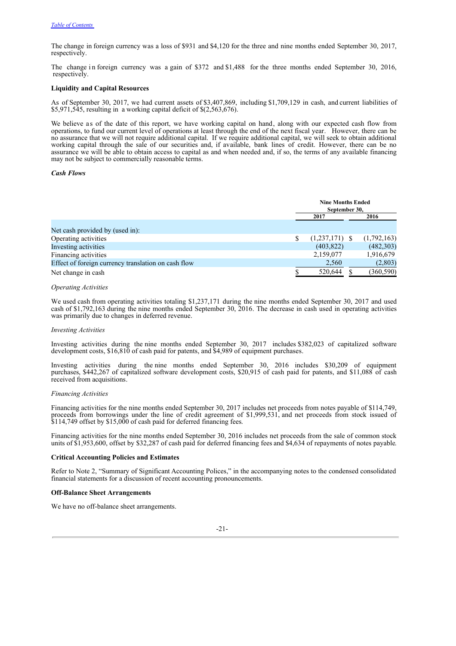The change in foreign currency was a loss of \$931 and \$4,120 for the three and nine months ended September 30, 2017, respectively.

The change in foreign currency was a gain of \$372 and \$1,488 for the three months ended September 30, 2016, respectively.

## **Liquidity and Capital Resources**

As of September 30, 2017, we had current assets of \$3,407,869, including \$1,709,129 in cash, andcurrent liabilities of \$5,971,545, resulting in a working capital deficit of \$(2,563,676).

We believe as of the date of this report, we have working capital on hand, along with our expected cash flow from operations, to fund our current level of operations at least through the end of the next fiscal year. However, there can be no assurance that we will not require additional capital. If we require additional capital, we will seek to obtain additional working capital through the sale of our securities and, if available, bank lines of credit. However, there can be no assurance we will be able to obtain access to capital as and when needed and, if so, the terms of any available financing may not be subject to commercially reasonable terms.

## *Cash Flows*

|                                                     |                  | <b>Nine Months Ended</b><br>September 30, |             |  |
|-----------------------------------------------------|------------------|-------------------------------------------|-------------|--|
|                                                     | 2017             |                                           | 2016        |  |
| Net cash provided by (used in):                     |                  |                                           |             |  |
| Operating activities                                | $(1,237,171)$ \$ |                                           | (1,792,163) |  |
| Investing activities                                | (403, 822)       |                                           | (482,303)   |  |
| Financing activities                                | 2,159,077        |                                           | 1,916,679   |  |
| Effect of foreign currency translation on cash flow | 2,560            |                                           | (2,803)     |  |
| Net change in cash                                  | 520.644          |                                           | (360, 590)  |  |

## *Operating Activities*

We used cash from operating activities totaling \$1,237,171 during the nine months ended September 30, 2017 and used cash of \$1,792,163 during the nine months ended September 30, 2016. The decrease in cash used in operating activities was primarily due to changes in deferred revenue.

## *Investing Activities*

Investing activities during the nine months ended September 30, 2017 includes \$382,023 of capitalized software development costs,  $$16,810$  of cash paid for patents, and  $$4,989$  of equipment purchases.

Investing activities during the nine months ended September 30, 2016 includes \$30,209 of equipment purchases, \$442,267 of capitalized software development costs, \$20,915 of cash paid for patents, and \$11,088 of cash received from acquisitions.

## *Financing Activities*

Financing activities for the nine months ended September 30, 2017 includes net proceeds from notes payable of \$114,749, proceeds from borrowings under the line of credit agreement of \$1,999,531, and net proceeds from stock issued of  $$114,749$  offset by  $$15,000$  of cash paid for deferred financing fees.

Financing activities for the nine months ended September 30, 2016 includes net proceeds from the sale of common stock units of \$1,953,600, offset by \$32,287 of cash paid for deferred financing fees and \$4,634 of repayments of notes payable.

## **Critical Accounting Policies and Estimates**

Refer to Note 2, "Summary of Significant Accounting Polices," in the accompanying notes to the condensed consolidated financial statements for a discussion of recent accounting pronouncements.

## **Off-Balance Sheet Arrangements**

We have no off-balance sheet arrangements.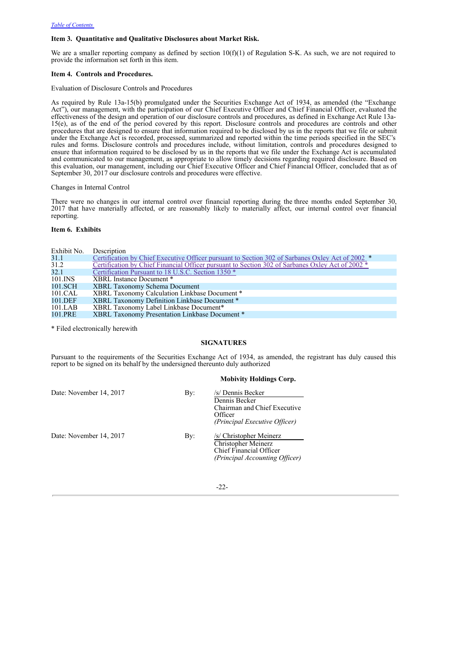## **Item 3. Quantitative and Qualitative Disclosures about Market Risk.**

We are a smaller reporting company as defined by section  $10(f)(1)$  of Regulation S-K. As such, we are not required to provide the information set forth in this item.

## **Item 4. Controls and Procedures.**

## Evaluation of Disclosure Controls and Procedures

As required by Rule 13a-15(b) promulgated under the Securities Exchange Act of 1934, as amended (the "Exchange Act"), our management, with the participation of our Chief Executive Officer and Chief Financial Officer, evaluated the effectiveness of the design and operation of our disclosure controls and procedures, as defined in Exchange Act Rule 13a-15(e), as of the end of the period covered by this report. Disclosure controls and procedures are controls and other procedures that are designed to ensure that information required to be disclosed by us in the reports that we file or submit under the Exchange Act is recorded, processed, summarized and reported within the time periods specified in the SEC's rules and forms. Disclosure controls and procedures include, without limitation, controls and procedures designed to ensure that information required to be disclosed by us in the reports that we file under the Exchange Act is accumulated and communicated to our management, as appropriate to allow timely decisions regarding required disclosure. Based on this evaluation, our management, including our Chief Executive Officer and Chief Financial Officer, concluded that as of September 30, 2017 our disclosure controls and procedures were effective.

Changes in Internal Control

There were no changes in our internal control over financial reporting during the three months ended September 30, 2017 that have materially affected, or are reasonably likely to materially affect, our internal control over financial reporting.

## **Item 6. Exhibits**

| Exhibit No. | Description                                                                                      |
|-------------|--------------------------------------------------------------------------------------------------|
| 31.1        | Certification by Chief Executive Officer pursuant to Section 302 of Sarbanes Oxley Act of 2002 * |
| 31.2        | Certification by Chief Financial Officer pursuant to Section 302 of Sarbanes Oxley Act of 2002 * |
| 32.1        | Certification Pursuant to 18 U.S.C. Section 1350 *                                               |
| 101.INS     | XBRL Instance Document *                                                                         |
| 101.SCH     | <b>XBRL Taxonomy Schema Document</b>                                                             |
| 101.CAL     | XBRL Taxonomy Calculation Linkbase Document *                                                    |
| 101.DEF     | XBRL Taxonomy Definition Linkbase Document *                                                     |
| 101.LAB     | XBRL Taxonomy Label Linkbase Document*                                                           |
| 101.PRE     | XBRL Taxonomy Presentation Linkbase Document *                                                   |

\* Filed electronically herewith

## **SIGNATURES**

Pursuant to the requirements of the Securities Exchange Act of 1934, as amended, the registrant has duly caused this report to be signed on its behalf by the undersigned thereunto duly authorized

## **Mobivity Holdings Corp.**

| Date: November 14, 2017 | By: | /s/ Dennis Becker<br>Dennis Becker<br>Chairman and Chief Executive<br>Officer<br>(Principal Executive Officer) |
|-------------------------|-----|----------------------------------------------------------------------------------------------------------------|
| Date: November 14, 2017 | By: | /s/ Christopher Meinerz<br>Christopher Meinerz<br>Chief Financial Officer<br>(Principal Accounting Officer)    |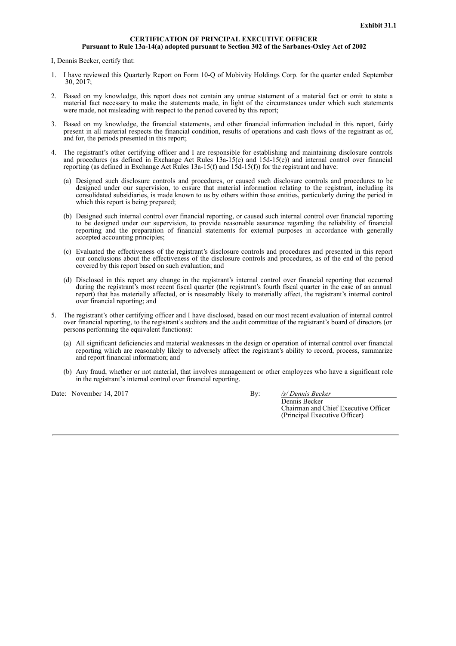## **CERTIFICATION OF PRINCIPAL EXECUTIVE OFFICER Pursuant to Rule 13a-14(a) adopted pursuant to Section 302 of the Sarbanes-Oxley Act of 2002**

I, Dennis Becker, certify that:

- 1. I have reviewed this Quarterly Report on Form 10-Q of Mobivity Holdings Corp. for the quarter ended September 30, 2017;
- 2. Based on my knowledge, this report does not contain any untrue statement of a material fact or omit to state a material fact necessary to make the statements made, in light of the circumstances under which such statements were made, not misleading with respect to the period covered by this report;
- 3. Based on my knowledge, the financial statements, and other financial information included in this report, fairly present in all material respects the financial condition, results of operations and cash flows of the registrant as of, and for, the periods presented in this report;
- 4. The registrant's other certifying officer and I are responsible for establishing and maintaining disclosure controls and procedures (as defined in Exchange Act Rules 13a-15(e) and 15d-15(e)) and internal control over financial reporting (as defined in Exchange Act Rules 13a-15(f) and 15d-15(f)) for the registrant and have:
	- (a) Designed such disclosure controls and procedures, or caused such disclosure controls and procedures to be designed under our supervision, to ensure that material information relating to the registrant, including its consolidated subsidiaries, is made known to us by others within those entities, particularly during the period in which this report is being prepared;
	- (b) Designed such internal control over financial reporting, or caused such internal control over financial reporting to be designed under our supervision, to provide reasonable assurance regarding the reliability of financial reporting and the preparation of financial statements for external purposes in accordance with generally accepted accounting principles;
	- (c) Evaluated the effectiveness of the registrant's disclosure controls and procedures and presented in this report our conclusions about the effectiveness of the disclosure controls and procedures, as of the end of the period covered by this report based on such evaluation; and
	- (d) Disclosed in this report any change in the registrant's internal control over financial reporting that occurred during the registrant's most recent fiscal quarter (the registrant's fourth fiscal quarter in the case of an annual report) that has materially affected, or is reasonably likely to materially affect, the registrant's internal control over financial reporting; and
- 5. The registrant's other certifying officer and I have disclosed, based on our most recent evaluation of internal control over financial reporting, to the registrant's auditors and the audit committee of the registrant's board of directors (or persons performing the equivalent functions):
	- (a) All significant deficiencies and material weaknesses in the design or operation of internal control over financial reporting which are reasonably likely to adversely affect the registrant's ability to record, process, summarize and report financial information; and
	- (b) Any fraud, whether or not material, that involves management or other employees who have a significant role in the registrant's internal control over financial reporting.

Date: November 14, 2017 By: */s/ Dennis Becker* 

Dennis Becker Chairman and Chief Executive Officer (Principal Executive Officer)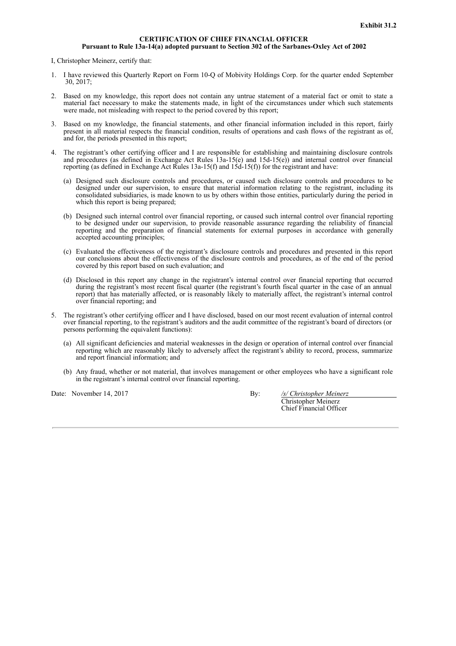## **CERTIFICATION OF CHIEF FINANCIAL OFFICER Pursuant to Rule 13a-14(a) adopted pursuant to Section 302 of the Sarbanes-Oxley Act of 2002**

I, Christopher Meinerz, certify that:

- 1. I have reviewed this Quarterly Report on Form 10-Q of Mobivity Holdings Corp. for the quarter ended September 30, 2017;
- 2. Based on my knowledge, this report does not contain any untrue statement of a material fact or omit to state a material fact necessary to make the statements made, in light of the circumstances under which such statements were made, not misleading with respect to the period covered by this report;
- 3. Based on my knowledge, the financial statements, and other financial information included in this report, fairly present in all material respects the financial condition, results of operations and cash flows of the registrant as of, and for, the periods presented in this report;
- 4. The registrant's other certifying officer and I are responsible for establishing and maintaining disclosure controls and procedures (as defined in Exchange Act Rules 13a-15(e) and 15d-15(e)) and internal control over financial reporting (as defined in Exchange Act Rules 13a-15(f) and 15d-15(f)) for the registrant and have:
	- (a) Designed such disclosure controls and procedures, or caused such disclosure controls and procedures to be designed under our supervision, to ensure that material information relating to the registrant, including its consolidated subsidiaries, is made known to us by others within those entities, particularly during the period in which this report is being prepared;
	- (b) Designed such internal control over financial reporting, or caused such internal control over financial reporting to be designed under our supervision, to provide reasonable assurance regarding the reliability of financial reporting and the preparation of financial statements for external purposes in accordance with generally accepted accounting principles;
	- (c) Evaluated the effectiveness of the registrant's disclosure controls and procedures and presented in this report our conclusions about the effectiveness of the disclosure controls and procedures, as of the end of the period covered by this report based on such evaluation; and
	- (d) Disclosed in this report any change in the registrant's internal control over financial reporting that occurred during the registrant's most recent fiscal quarter (the registrant's fourth fiscal quarter in the case of an annual report) that has materially affected, or is reasonably likely to materially affect, the registrant's internal control over financial reporting; and
- 5. The registrant's other certifying officer and I have disclosed, based on our most recent evaluation of internal control over financial reporting, to the registrant's auditors and the audit committee of the registrant's board of directors (or persons performing the equivalent functions):
	- (a) All significant deficiencies and material weaknesses in the design or operation of internal control over financial reporting which are reasonably likely to adversely affect the registrant's ability to record, process, summarize and report financial information; and
	- (b) Any fraud, whether or not material, that involves management or other employees who have a significant role in the registrant's internal control over financial reporting.

Date: November 14, 2017 By: */s/ Christopher Meinerz*

Christopher Meinerz Chief Financial Officer